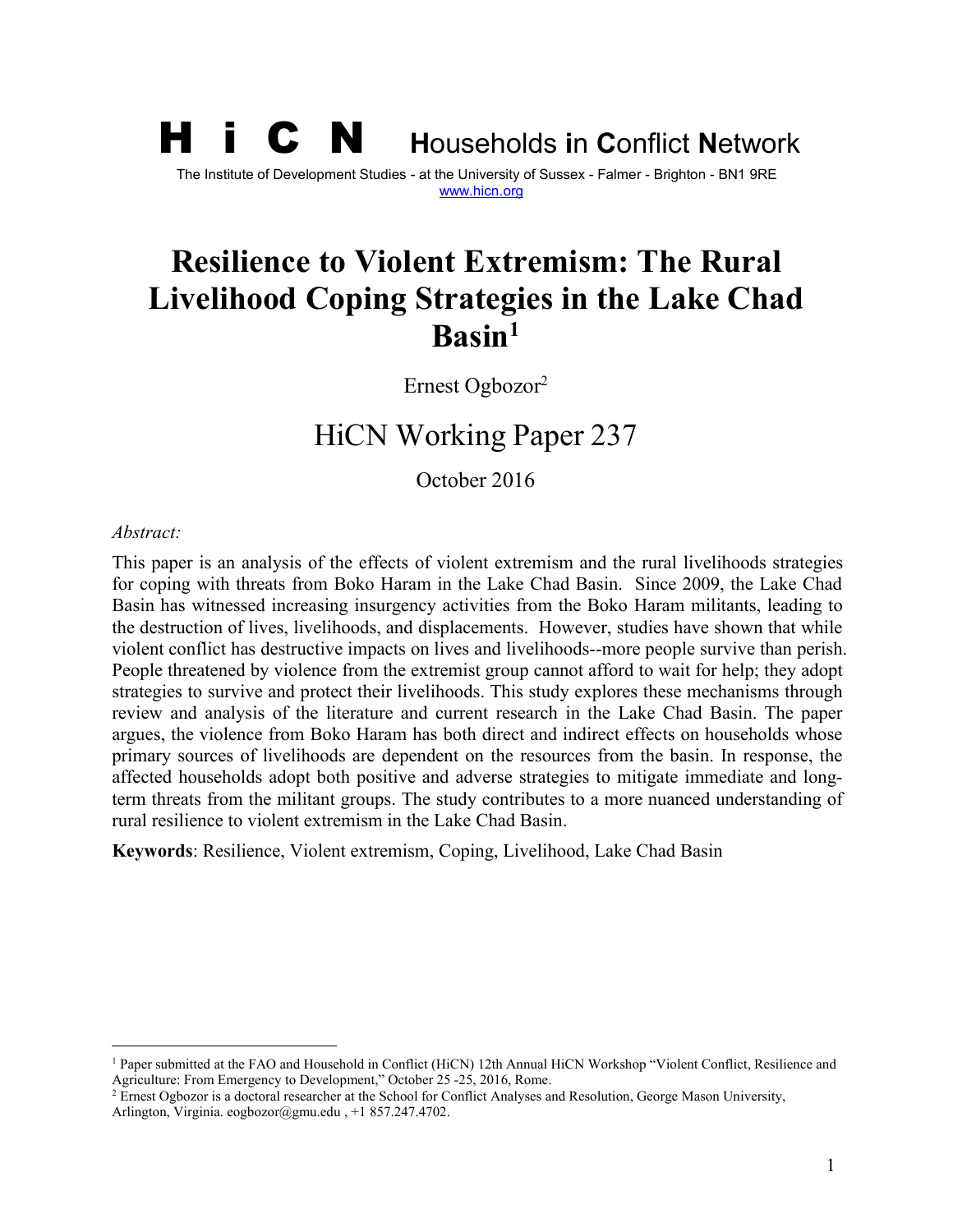# H i C N **<sup>H</sup>**ouseholds **<sup>i</sup>**<sup>n</sup> **<sup>C</sup>**onflict **<sup>N</sup>**etwork The Institute of Development Studies - at the University of Sussex - Falmer - Brighton - BN1 9RE [www.hicn.org](http://www.hicn.org/)

# **Resilience to Violent Extremism: The Rural Livelihood Coping Strategies in the Lake Chad Basin[1](#page-0-0)**

Ernest Ogbozor[2](#page-0-1)

# HiCN Working Paper 237

October 2016

#### *Abstract:*

This paper is an analysis of the effects of violent extremism and the rural livelihoods strategies for coping with threats from Boko Haram in the Lake Chad Basin. Since 2009, the Lake Chad Basin has witnessed increasing insurgency activities from the Boko Haram militants, leading to the destruction of lives, livelihoods, and displacements. However, studies have shown that while violent conflict has destructive impacts on lives and livelihoods--more people survive than perish. People threatened by violence from the extremist group cannot afford to wait for help; they adopt strategies to survive and protect their livelihoods. This study explores these mechanisms through review and analysis of the literature and current research in the Lake Chad Basin. The paper argues, the violence from Boko Haram has both direct and indirect effects on households whose primary sources of livelihoods are dependent on the resources from the basin. In response, the affected households adopt both positive and adverse strategies to mitigate immediate and longterm threats from the militant groups. The study contributes to a more nuanced understanding of rural resilience to violent extremism in the Lake Chad Basin.

**Keywords**: Resilience, Violent extremism, Coping, Livelihood, Lake Chad Basin

<span id="page-0-0"></span><sup>1</sup> Paper submitted at the FAO and Household in Conflict (HiCN) 12th Annual HiCN Workshop "Violent Conflict, Resilience and Agriculture: From Emergency to Development," October 25 -25, 2016, Rome.

<span id="page-0-1"></span><sup>&</sup>lt;sup>2</sup> Ernest Ogbozor is a doctoral researcher at the School for Conflict Analyses and Resolution, George Mason University, Arlington, Virginia. eogbozor@gmu.edu , +1 857.247.4702.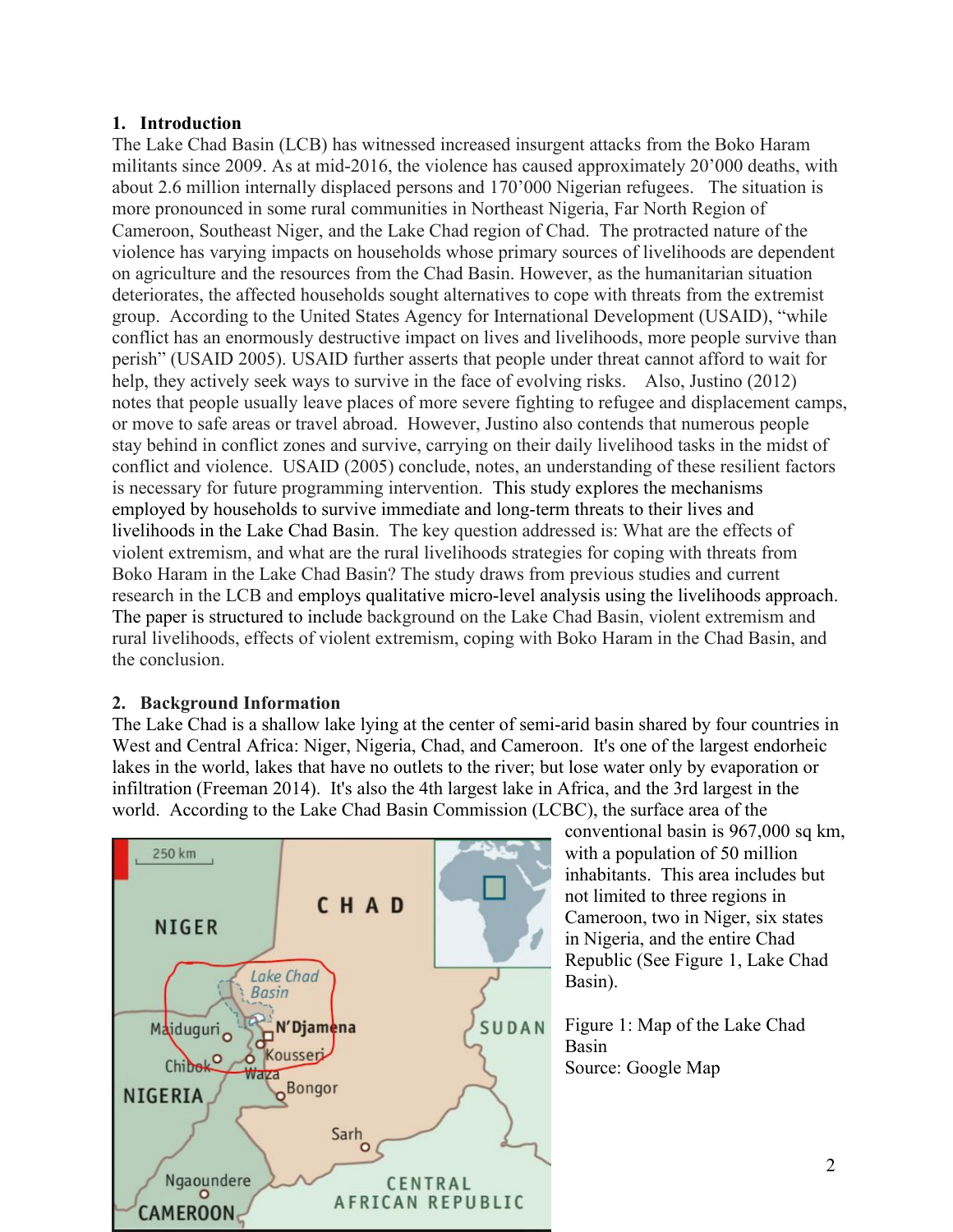# **1. Introduction**

The Lake Chad Basin (LCB) has witnessed increased insurgent attacks from the Boko Haram militants since 2009. As at mid-2016, the violence has caused approximately 20'000 deaths, with about 2.6 million internally displaced persons and 170'000 Nigerian refugees. The situation is more pronounced in some rural communities in Northeast Nigeria, Far North Region of Cameroon, Southeast Niger, and the Lake Chad region of Chad. The protracted nature of the violence has varying impacts on households whose primary sources of livelihoods are dependent on agriculture and the resources from the Chad Basin. However, as the humanitarian situation deteriorates, the affected households sought alternatives to cope with threats from the extremist group. According to the United States Agency for International Development (USAID), "while conflict has an enormously destructive impact on lives and livelihoods, more people survive than perish" (USAID 2005). USAID further asserts that people under threat cannot afford to wait for help, they actively seek ways to survive in the face of evolving risks. Also, Justino (2012) notes that people usually leave places of more severe fighting to refugee and displacement camps, or move to safe areas or travel abroad. However, Justino also contends that numerous people stay behind in conflict zones and survive, carrying on their daily livelihood tasks in the midst of conflict and violence. USAID (2005) conclude, notes, an understanding of these resilient factors is necessary for future programming intervention. This study explores the mechanisms employed by households to survive immediate and long-term threats to their lives and livelihoods in the Lake Chad Basin. The key question addressed is: What are the effects of violent extremism, and what are the rural livelihoods strategies for coping with threats from Boko Haram in the Lake Chad Basin? The study draws from previous studies and current research in the LCB and employs qualitative micro-level analysis using the livelihoods approach. The paper is structured to include background on the Lake Chad Basin, violent extremism and rural livelihoods, effects of violent extremism, coping with Boko Haram in the Chad Basin, and the conclusion.

# **2. Background Information**

The Lake Chad is a shallow lake lying at the center of semi-arid basin shared by four countries in West and Central Africa: Niger, Nigeria, Chad, and Cameroon. It's one of the largest endorheic lakes in the world, lakes that have no outlets to the river; but lose water only by evaporation or infiltration (Freeman 2014). It's also the 4th largest lake in Africa, and the 3rd largest in the world. According to the Lake Chad Basin Commission (LCBC), the surface area of the



conventional basin is 967,000 sq km, with a population of 50 million inhabitants. This area includes but not limited to three regions in Cameroon, two in Niger, six states in Nigeria, and the entire Chad Republic (See Figure 1, Lake Chad Basin).

Figure 1: Map of the Lake Chad Basin Source: Google Map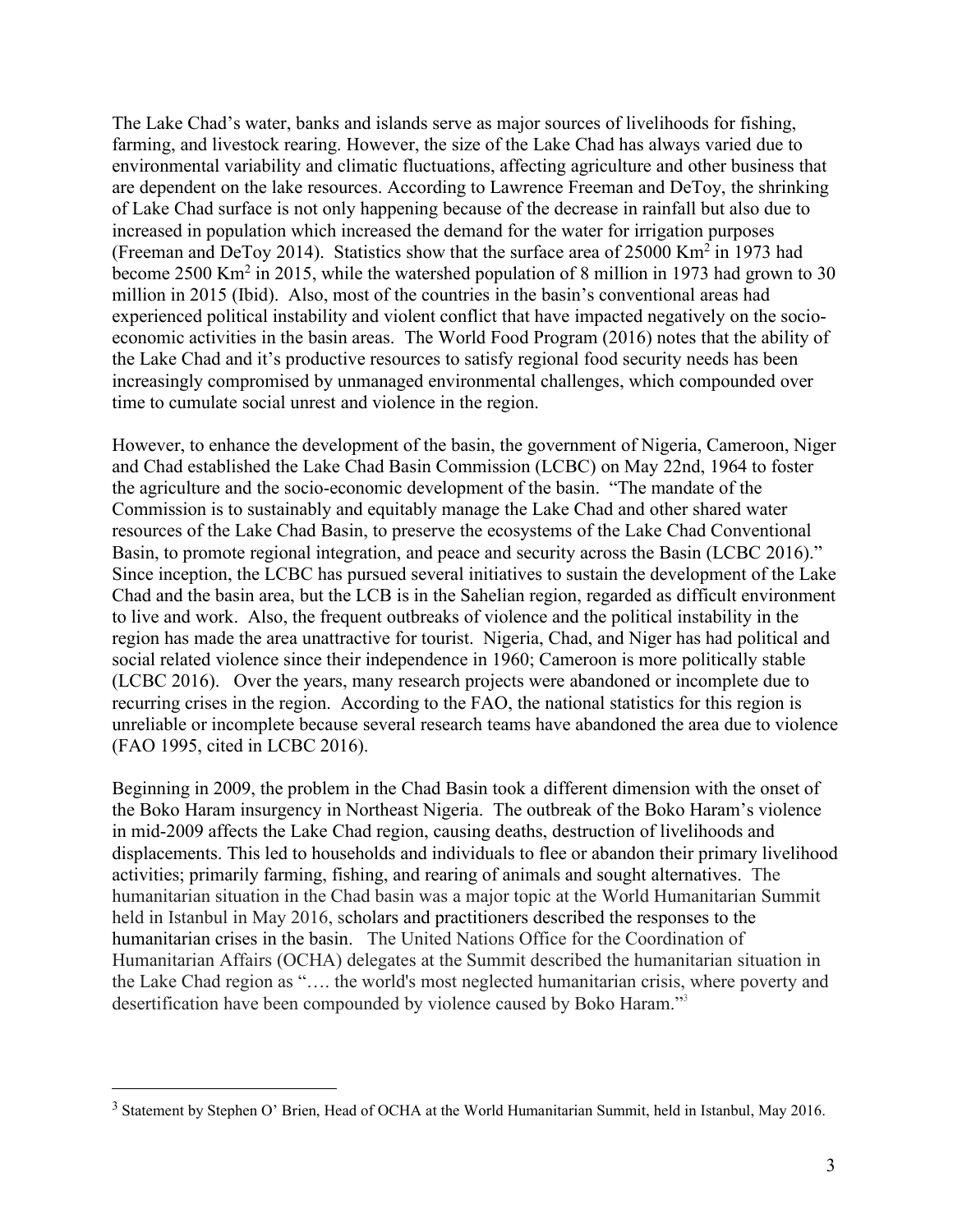The Lake Chad's water, banks and islands serve as major sources of livelihoods for fishing, farming, and livestock rearing. However, the size of the Lake Chad has always varied due to environmental variability and climatic fluctuations, affecting agriculture and other business that are dependent on the lake resources. According to Lawrence Freeman and DeToy, the shrinking of Lake Chad surface is not only happening because of the decrease in rainfall but also due to increased in population which increased the demand for the water for irrigation purposes (Freeman and DeToy 2014). Statistics show that the surface area of 25000 Km<sup>2</sup> in 1973 had become 2500 Km<sup>2</sup> in 2015, while the watershed population of 8 million in 1973 had grown to 30 million in 2015 (Ibid). Also, most of the countries in the basin's conventional areas had experienced political instability and violent conflict that have impacted negatively on the socioeconomic activities in the basin areas. The World Food Program (2016) notes that the ability of the Lake Chad and it's productive resources to satisfy regional food security needs has been increasingly compromised by unmanaged environmental challenges, which compounded over time to cumulate social unrest and violence in the region.

However, to enhance the development of the basin, the government of Nigeria, Cameroon, Niger and Chad established the Lake Chad Basin Commission (LCBC) on May 22nd, 1964 to foster the agriculture and the socio-economic development of the basin. "The mandate of the Commission is to sustainably and equitably manage the Lake Chad and other shared water resources of the Lake Chad Basin, to preserve the ecosystems of the Lake Chad Conventional Basin, to promote regional integration, and peace and security across the Basin (LCBC 2016)." Since inception, the LCBC has pursued several initiatives to sustain the development of the Lake Chad and the basin area, but the LCB is in the Sahelian region, regarded as difficult environment to live and work. Also, the frequent outbreaks of violence and the political instability in the region has made the area unattractive for tourist. Nigeria, Chad, and Niger has had political and social related violence since their independence in 1960; Cameroon is more politically stable (LCBC 2016). Over the years, many research projects were abandoned or incomplete due to recurring crises in the region. According to the FAO, the national statistics for this region is unreliable or incomplete because several research teams have abandoned the area due to violence (FAO 1995, cited in LCBC 2016).

Beginning in 2009, the problem in the Chad Basin took a different dimension with the onset of the Boko Haram insurgency in Northeast Nigeria. The outbreak of the Boko Haram's violence in mid-2009 affects the Lake Chad region, causing deaths, destruction of livelihoods and displacements. This led to households and individuals to flee or abandon their primary livelihood activities; primarily farming, fishing, and rearing of animals and sought alternatives. The humanitarian situation in the Chad basin was a major topic at the World Humanitarian Summit held in Istanbul in May 2016, scholars and practitioners described the responses to the humanitarian crises in the basin. The United Nations Office for the Coordination of Humanitarian Affairs (OCHA) delegates at the Summit described the humanitarian situation in the Lake Chad region as "…. the world's most neglected humanitarian crisis, where poverty and desertification have been compounded by violence caused by Boko Haram." [3](#page-2-0)

<span id="page-2-0"></span><sup>&</sup>lt;sup>3</sup> Statement by Stephen O' Brien, Head of OCHA at the World Humanitarian Summit, held in Istanbul, May 2016.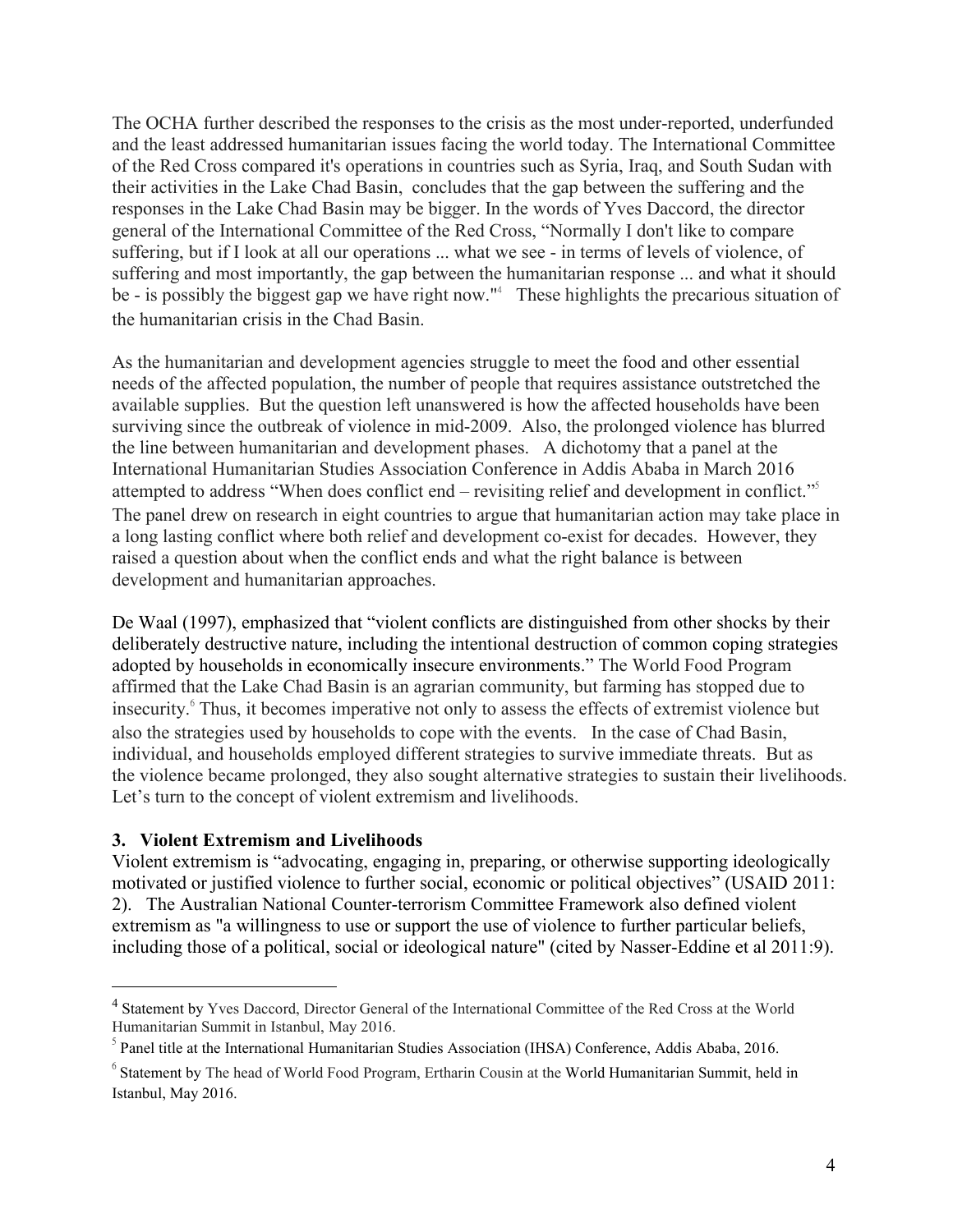The OCHA further described the responses to the crisis as the most under-reported, underfunded and the least addressed humanitarian issues facing the world today. The International Committee of the Red Cross compared it's operations in countries such as Syria,Iraq, and South Sudan with their activities in the Lake Chad Basin, concludes that the gap between the suffering and the responses in the Lake Chad Basin may be bigger. In the words of Yves Daccord, the director general of the International Committee of the Red Cross, "Normally I don't like to compare suffering, but if I look at all our operations ... what we see - in terms of levels of violence, of suffering and most importantly, the gap between the humanitarian response ... and what it should be - is possibly the biggest gap we have right now."<sup>[4](#page-3-0)</sup> These highlights the precarious situation of the humanitarian crisis in the Chad Basin.

As the humanitarian and development agencies struggle to meet the food and other essential needs of the affected population, the number of people that requires assistance outstretched the available supplies. But the question left unanswered is how the affected households have been surviving since the outbreak of violence in mid-2009. Also, the prolonged violence has blurred the line between humanitarian and development phases. A dichotomy that a panel at the International Humanitarian Studies Association Conference in Addis Ababa in March 2016 attempted to address "When does conflict end – revisiting relief and development in conflict." [5](#page-3-1) The panel drew on research in eight countries to argue that humanitarian action may take place in a long lasting conflict where both relief and development co-exist for decades. However, they raised a question about when the conflict ends and what the right balance is between development and humanitarian approaches.

De Waal (1997), emphasized that "violent conflicts are distinguished from other shocks by their deliberately destructive nature, including the intentional destruction of common coping strategies adopted by households in economically insecure environments." The World Food Program affirmed that the Lake Chad Basin is an agrarian community, but farming has stopped due to insecurity.<sup>[6](#page-3-2)</sup> Thus, it becomes imperative not only to assess the effects of extremist violence but also the strategies used by households to cope with the events. In the case of Chad Basin, individual, and households employed different strategies to survive immediate threats. But as the violence became prolonged, they also sought alternative strategies to sustain their livelihoods. Let's turn to the concept of violent extremism and livelihoods.

# **3. Violent Extremism and Livelihoods**

Violent extremism is "advocating, engaging in, preparing, or otherwise supporting ideologically motivated or justified violence to further social, economic or political objectives" (USAID 2011: 2). The Australian National Counter-terrorism Committee Framework also defined violent extremism as "a willingness to use or support the use of violence to further particular beliefs, including those of a political, social or ideological nature" (cited by Nasser-Eddine et al 2011:9).

<span id="page-3-0"></span><sup>4</sup> Statement by Yves Daccord, Director General of the International Committee of the Red Cross at the World Humanitarian Summit in Istanbul, May 2016.

<span id="page-3-1"></span><sup>&</sup>lt;sup>5</sup> Panel title at the International Humanitarian Studies Association (IHSA) Conference, Addis Ababa, 2016.

<span id="page-3-2"></span> $6$  Statement by The head of World Food Program, Ertharin Cousin at the World Humanitarian Summit, held in Istanbul, May 2016.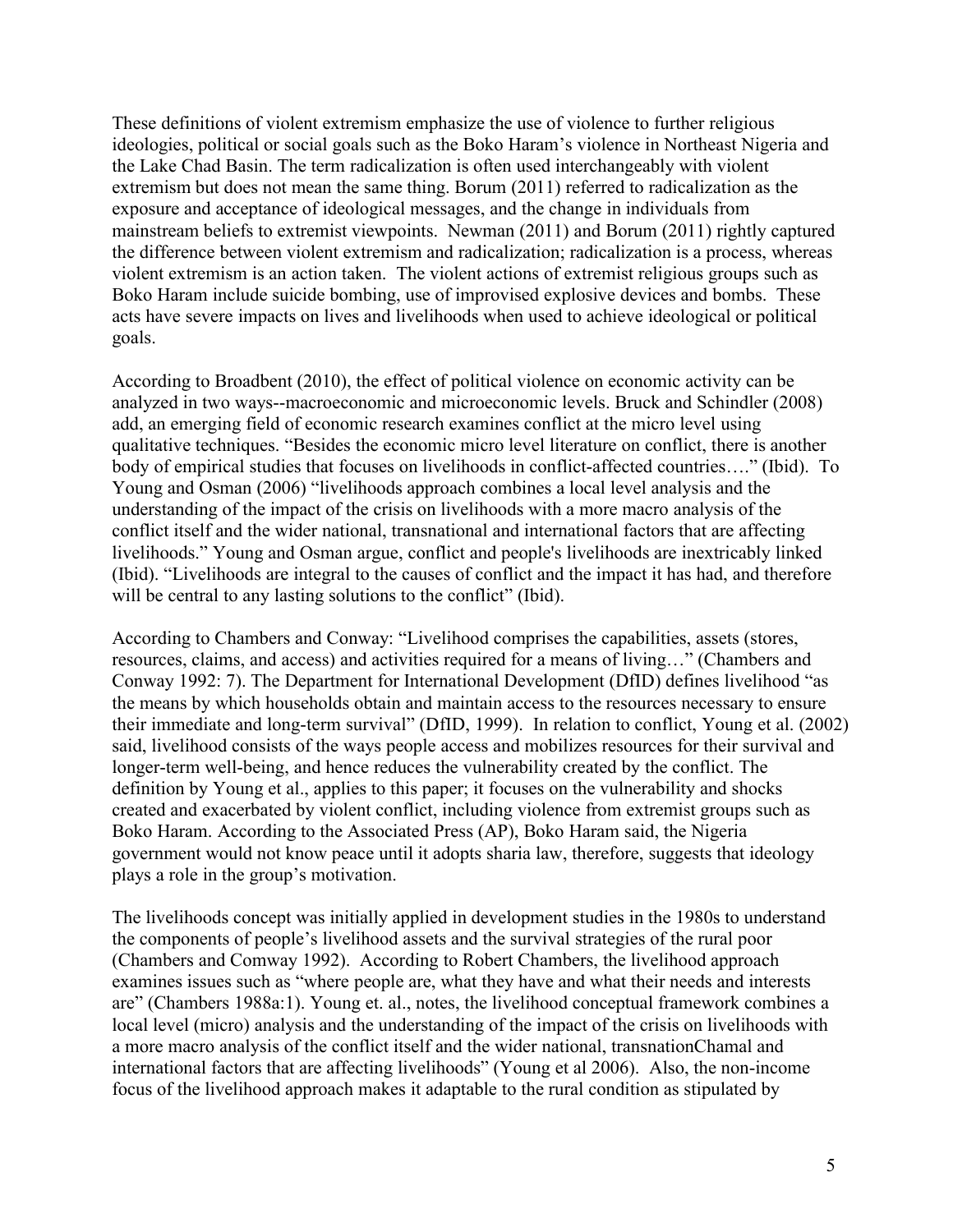These definitions of violent extremism emphasize the use of violence to further religious ideologies, political or social goals such as the Boko Haram's violence in Northeast Nigeria and the Lake Chad Basin. The term radicalization is often used interchangeably with violent extremism but does not mean the same thing. Borum (2011) referred to radicalization as the exposure and acceptance of ideological messages, and the change in individuals from mainstream beliefs to extremist viewpoints. Newman (2011) and Borum (2011) rightly captured the difference between violent extremism and radicalization; radicalization is a process, whereas violent extremism is an action taken. The violent actions of extremist religious groups such as Boko Haram include suicide bombing, use of improvised explosive devices and bombs. These acts have severe impacts on lives and livelihoods when used to achieve ideological or political goals.

According to Broadbent (2010), the effect of political violence on economic activity can be analyzed in two ways--macroeconomic and microeconomic levels. Bruck and Schindler (2008) add, an emerging field of economic research examines conflict at the micro level using qualitative techniques. "Besides the economic micro level literature on conflict, there is another body of empirical studies that focuses on livelihoods in conflict-affected countries…." (Ibid). To Young and Osman (2006) "livelihoods approach combines a local level analysis and the understanding of the impact of the crisis on livelihoods with a more macro analysis of the conflict itself and the wider national, transnational and international factors that are affecting livelihoods." Young and Osman argue, conflict and people's livelihoods are inextricably linked (Ibid). "Livelihoods are integral to the causes of conflict and the impact it has had, and therefore will be central to any lasting solutions to the conflict" (Ibid).

According to Chambers and Conway: "Livelihood comprises the capabilities, assets (stores, resources, claims, and access) and activities required for a means of living..." (Chambers and Conway 1992: 7). The Department for International Development (DfID) defines livelihood "as the means by which households obtain and maintain access to the resources necessary to ensure their immediate and long-term survival" (DfID, 1999). In relation to conflict, Young et al. (2002) said, livelihood consists of the ways people access and mobilizes resources for their survival and longer-term well-being, and hence reduces the vulnerability created by the conflict. The definition by Young et al., applies to this paper; it focuses on the vulnerability and shocks created and exacerbated by violent conflict, including violence from extremist groups such as Boko Haram. According to the Associated Press (AP), Boko Haram said, the Nigeria government would not know peace until it adopts sharia law, therefore, suggests that ideology plays a role in the group's motivation.

The livelihoods concept was initially applied in development studies in the 1980s to understand the components of people's livelihood assets and the survival strategies of the rural poor (Chambers and Comway 1992). According to Robert Chambers, the livelihood approach examines issues such as "where people are, what they have and what their needs and interests are" (Chambers 1988a:1). Young et. al., notes, the livelihood conceptual framework combines a local level (micro) analysis and the understanding of the impact of the crisis on livelihoods with a more macro analysis of the conflict itself and the wider national, transnationChamal and international factors that are affecting livelihoods" (Young et al 2006). Also, the non-income focus of the livelihood approach makes it adaptable to the rural condition as stipulated by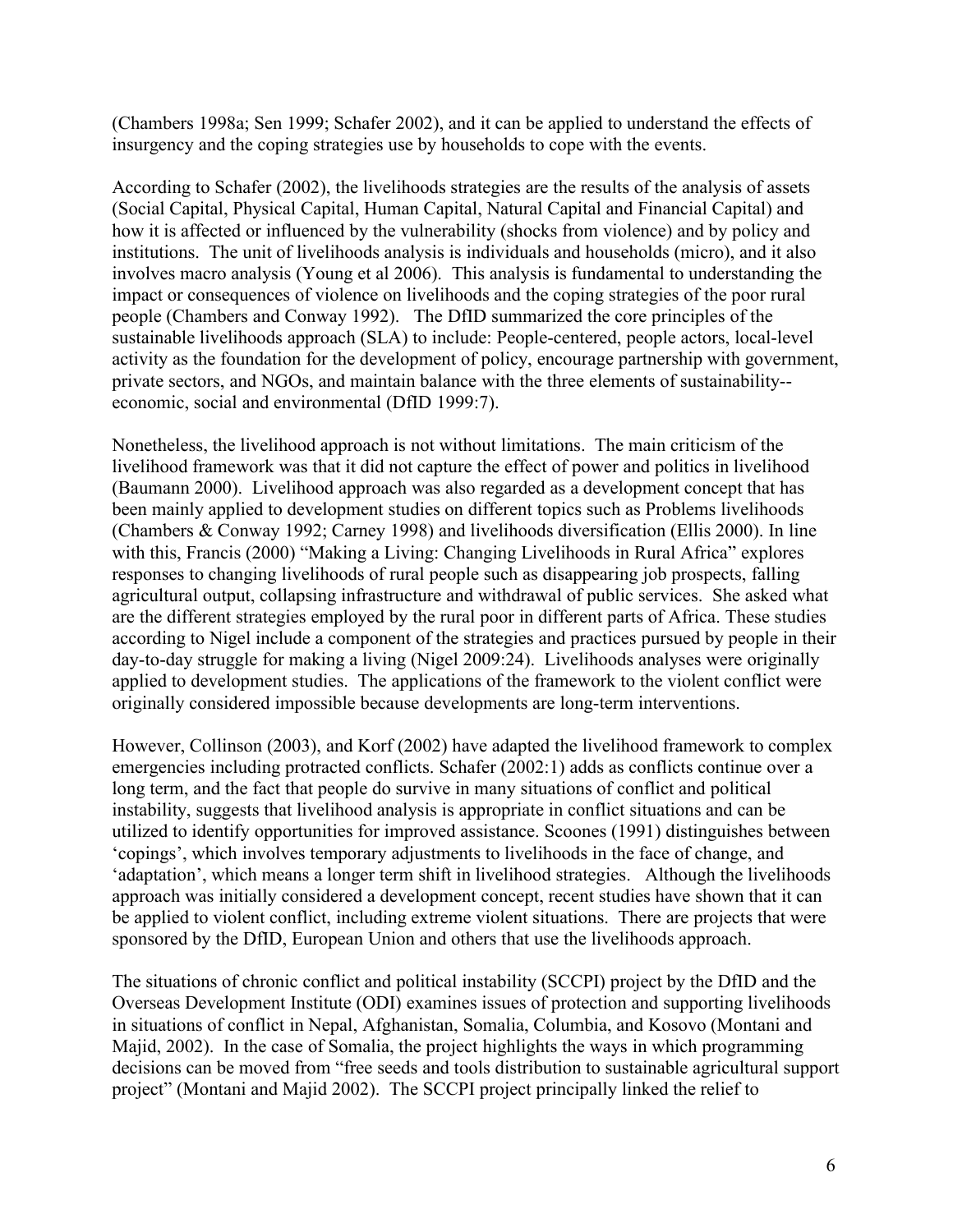(Chambers 1998a; Sen 1999; Schafer 2002), and it can be applied to understand the effects of insurgency and the coping strategies use by households to cope with the events.

According to Schafer  $(2002)$ , the livelihoods strategies are the results of the analysis of assets (Social Capital, Physical Capital, Human Capital, Natural Capital and Financial Capital) and how it is affected or influenced by the vulnerability (shocks from violence) and by policy and institutions. The unit of livelihoods analysis is individuals and households (micro), and it also involves macro analysis (Young et al 2006). This analysis is fundamental to understanding the impact or consequences of violence on livelihoods and the coping strategies of the poor rural people (Chambers and Conway 1992). The DfID summarized the core principles of the sustainable livelihoods approach (SLA) to include: People-centered, people actors, local-level activity as the foundation for the development of policy, encourage partnership with government, private sectors, and NGOs, and maintain balance with the three elements of sustainability-economic, social and environmental (DfID 1999:7).

Nonetheless, the livelihood approach is not without limitations. The main criticism of the livelihood framework was that it did not capture the effect of power and politics in livelihood (Baumann 2000). Livelihood approach was also regarded as a development concept that has been mainly applied to development studies on different topics such as Problems livelihoods (Chambers & Conway 1992; Carney 1998) and livelihoods diversification (Ellis 2000). In line with this, Francis (2000) "Making a Living: Changing Livelihoods in Rural Africa" explores responses to changing livelihoods of rural people such as disappearing job prospects, falling agricultural output, collapsing infrastructure and withdrawal of public services. She asked what are the different strategies employed by the rural poor in different parts of Africa. These studies according to Nigel include a component of the strategies and practices pursued by people in their day-to-day struggle for making a living (Nigel 2009:24). Livelihoods analyses were originally applied to development studies. The applications of the framework to the violent conflict were originally considered impossible because developments are long-term interventions.

However, Collinson (2003), and Korf (2002) have adapted the livelihood framework to complex emergencies including protracted conflicts. Schafer (2002:1) adds as conflicts continue over a long term, and the fact that people do survive in many situations of conflict and political instability, suggests that livelihood analysis is appropriate in conflict situations and can be utilized to identify opportunities for improved assistance. Scoones (1991) distinguishes between 'copings', which involves temporary adjustments to livelihoods in the face of change, and 'adaptation', which means a longer term shift in livelihood strategies. Although the livelihoods approach was initially considered a development concept, recent studies have shown that it can be applied to violent conflict, including extreme violent situations. There are projects that were sponsored by the DfID, European Union and others that use the livelihoods approach.

The situations of chronic conflict and political instability (SCCPI) project by the DfID and the Overseas Development Institute (ODI) examines issues of protection and supporting livelihoods in situations of conflict in Nepal, Afghanistan, Somalia, Columbia, and Kosovo (Montani and Majid, 2002). In the case of Somalia, the project highlights the ways in which programming decisions can be moved from "free seeds and tools distribution to sustainable agricultural support project" (Montani and Majid 2002). The SCCPI project principally linked the relief to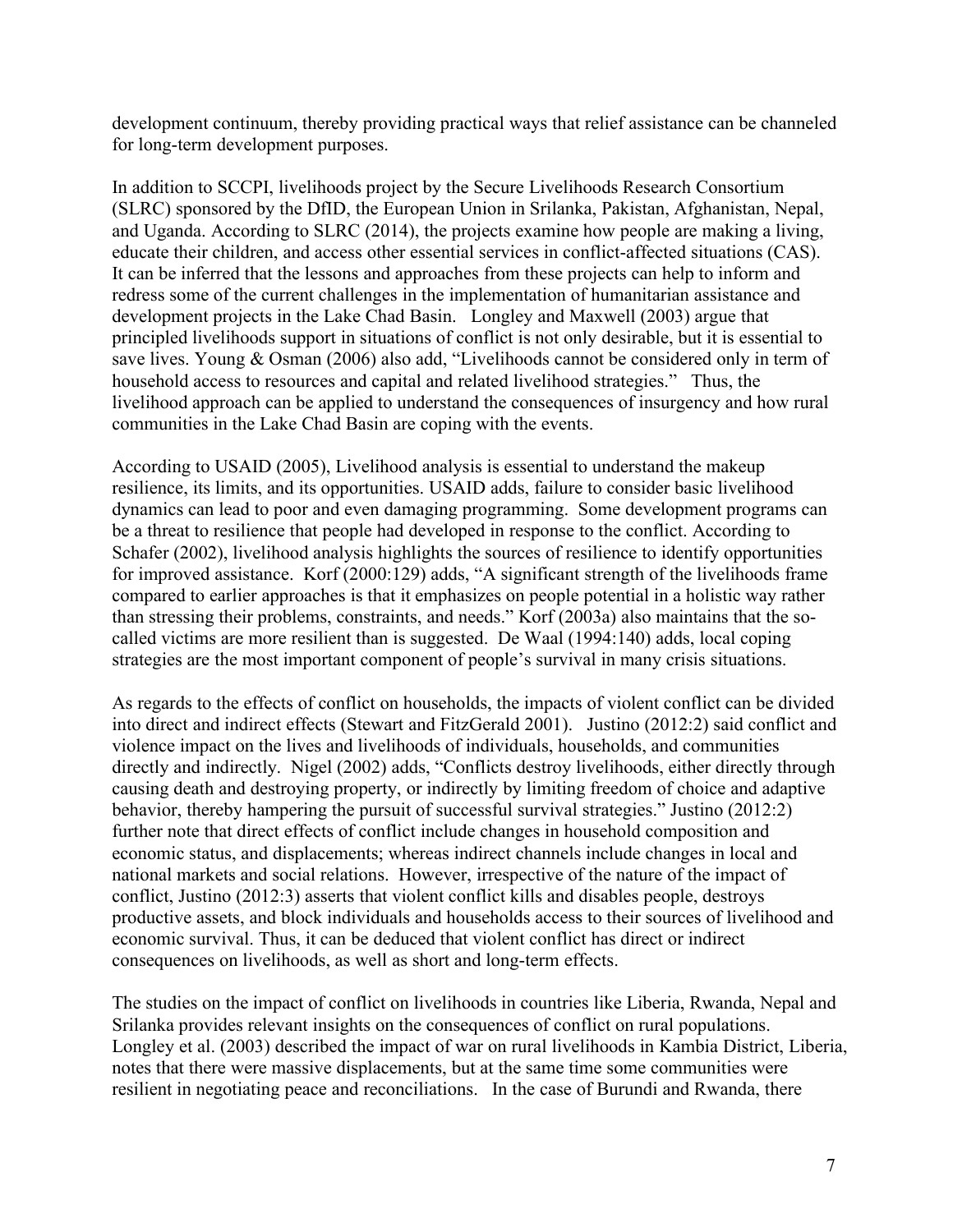development continuum, thereby providing practical ways that relief assistance can be channeled for long-term development purposes.

In addition to SCCPI, livelihoods project by the Secure Livelihoods Research Consortium (SLRC) sponsored by the DfID, the European Union in Srilanka, Pakistan, Afghanistan, Nepal, and Uganda. According to SLRC (2014), the projects examine how people are making a living, educate their children, and access other essential services in conflict-affected situations (CAS). It can be inferred that the lessons and approaches from these projects can help to inform and redress some of the current challenges in the implementation of humanitarian assistance and development projects in the Lake Chad Basin. Longley and Maxwell (2003) argue that principled livelihoods support in situations of conflict is not only desirable, but it is essential to save lives. Young & Osman (2006) also add, "Livelihoods cannot be considered only in term of household access to resources and capital and related livelihood strategies." Thus, the livelihood approach can be applied to understand the consequences of insurgency and how rural communities in the Lake Chad Basin are coping with the events.

According to USAID (2005), Livelihood analysis is essential to understand the makeup resilience, its limits, and its opportunities. USAID adds, failure to consider basic livelihood dynamics can lead to poor and even damaging programming. Some development programs can be a threat to resilience that people had developed in response to the conflict. According to Schafer (2002), livelihood analysis highlights the sources of resilience to identify opportunities for improved assistance. Korf (2000:129) adds, "A significant strength of the livelihoods frame compared to earlier approaches is that it emphasizes on people potential in a holistic way rather than stressing their problems, constraints, and needs." Korf (2003a) also maintains that the socalled victims are more resilient than is suggested. De Waal (1994:140) adds, local coping strategies are the most important component of people's survival in many crisis situations.

As regards to the effects of conflict on households, the impacts of violent conflict can be divided into direct and indirect effects (Stewart and FitzGerald 2001). Justino (2012:2) said conflict and violence impact on the lives and livelihoods of individuals, households, and communities directly and indirectly. Nigel (2002) adds, "Conflicts destroy livelihoods, either directly through causing death and destroying property, or indirectly by limiting freedom of choice and adaptive behavior, thereby hampering the pursuit of successful survival strategies." Justino (2012:2) further note that direct effects of conflict include changes in household composition and economic status, and displacements; whereas indirect channels include changes in local and national markets and social relations. However, irrespective of the nature of the impact of conflict, Justino (2012:3) asserts that violent conflict kills and disables people, destroys productive assets, and block individuals and households access to their sources of livelihood and economic survival.Thus, it can be deduced that violent conflict has direct or indirect consequences on livelihoods, as well as short and long-term effects.

The studies on the impact of conflict on livelihoods in countries like Liberia, Rwanda, Nepal and Srilanka provides relevant insights on the consequences of conflict on rural populations. Longley et al. (2003) described the impact of war on rural livelihoods in Kambia District, Liberia, notes that there were massive displacements, but at the same time some communities were resilient in negotiating peace and reconciliations. In the case of Burundi and Rwanda, there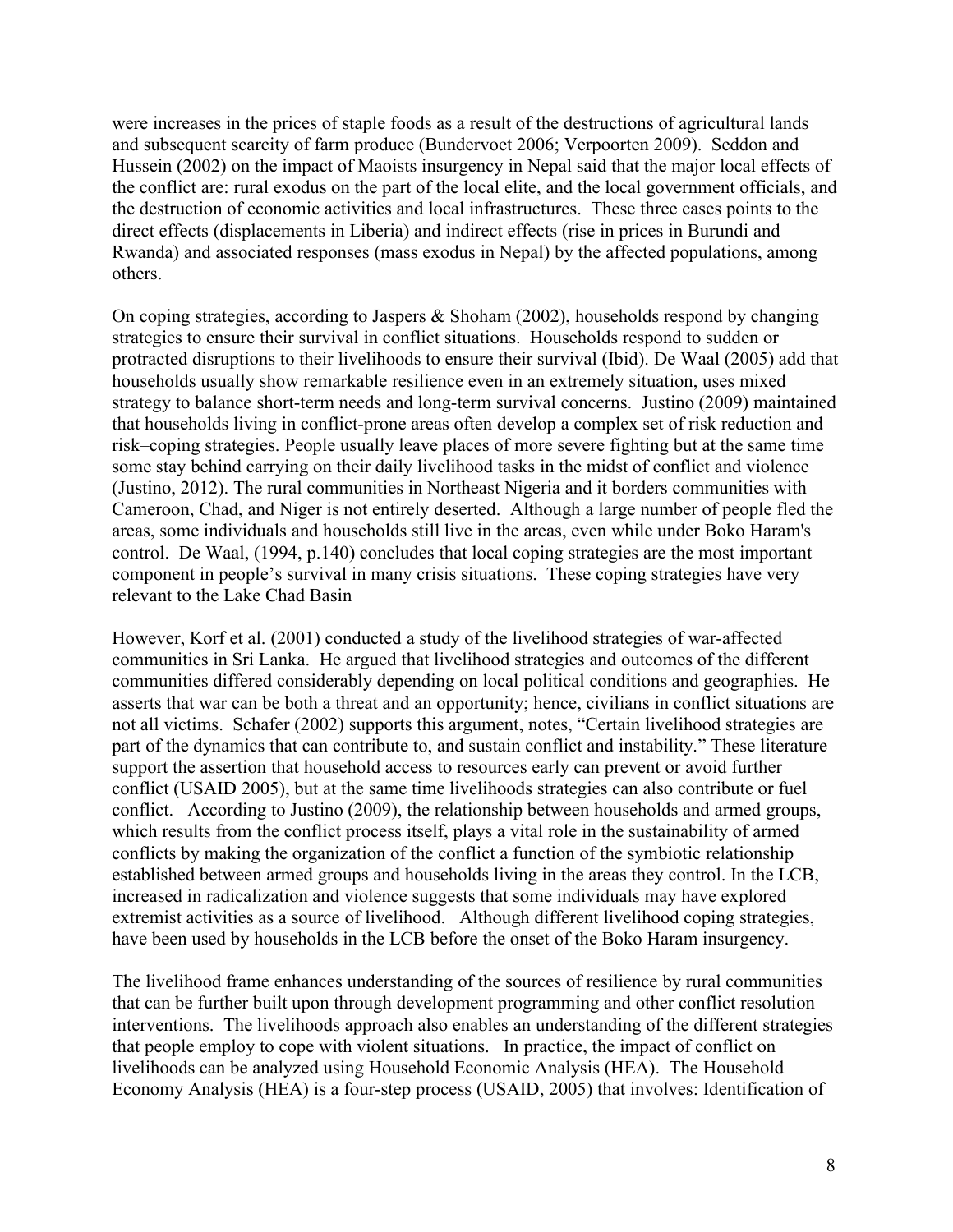were increases in the prices of staple foods as a result of the destructions of agricultural lands and subsequent scarcity of farm produce (Bundervoet 2006; Verpoorten 2009). Seddon and Hussein (2002) on the impact of Maoists insurgency in Nepal said that the major local effects of the conflict are: rural exodus on the part of the local elite, and the local government officials, and the destruction of economic activities and local infrastructures. These three cases points to the direct effects (displacements in Liberia) and indirect effects (rise in prices in Burundi and Rwanda) and associated responses (mass exodus in Nepal) by the affected populations, among others.

On coping strategies, according to Jaspers & Shoham (2002), households respond by changing strategies to ensure their survival in conflict situations. Households respond to sudden or protracted disruptions to their livelihoods to ensure their survival (Ibid). De Waal (2005) add that households usually show remarkable resilience even in an extremely situation, uses mixed strategy to balance short-term needs and long-term survival concerns. Justino (2009) maintained that households living in conflict-prone areas often develop a complex set of risk reduction and risk–coping strategies. People usually leave places of more severe fighting but at the same time some stay behind carrying on their daily livelihood tasks in the midst of conflict and violence (Justino, 2012). The rural communities in Northeast Nigeria and it borders communities with Cameroon, Chad, and Niger is not entirely deserted. Although a large number of people fled the areas, some individuals and households still live in the areas, even while under Boko Haram's control. De Waal, (1994, p.140) concludes that local coping strategies are the most important component in people's survival in many crisis situations. These coping strategies have very relevant to the Lake Chad Basin

However, Korf et al. (2001) conducted a study of the livelihood strategies of war-affected communities in Sri Lanka. He argued that livelihood strategies and outcomes ofthe different communities differed considerably depending on local political conditions and geographies. He asserts that war can be both a threat and an opportunity; hence, civilians in conflict situations are not all victims. Schafer (2002) supports this argument, notes, "Certain livelihood strategies are part of the dynamics that can contribute to, and sustain conflict and instability." These literature support the assertion that household access to resources early can prevent or avoid further conflict (USAID 2005), but at the same time livelihoods strategies can also contribute or fuel conflict. According to Justino (2009), the relationship between households and armed groups, which results from the conflict process itself, plays a vital role in the sustainability of armed conflicts by making the organization of the conflict a function of the symbiotic relationship established between armed groups and households living in the areas they control. In the LCB, increased in radicalization and violence suggests that some individuals may have explored extremist activities as a source of livelihood. Although different livelihood coping strategies, have been used by households in the LCB before the onset of the Boko Haram insurgency.

The livelihood frame enhances understanding of the sources of resilience by rural communities that can be further built upon through development programming and other conflict resolution interventions. The livelihoods approach also enables an understanding of the different strategies that people employ to cope with violent situations. In practice, the impact of conflict on livelihoods can be analyzed using Household Economic Analysis (HEA). The Household Economy Analysis (HEA) is a four-step process (USAID, 2005) that involves: Identification of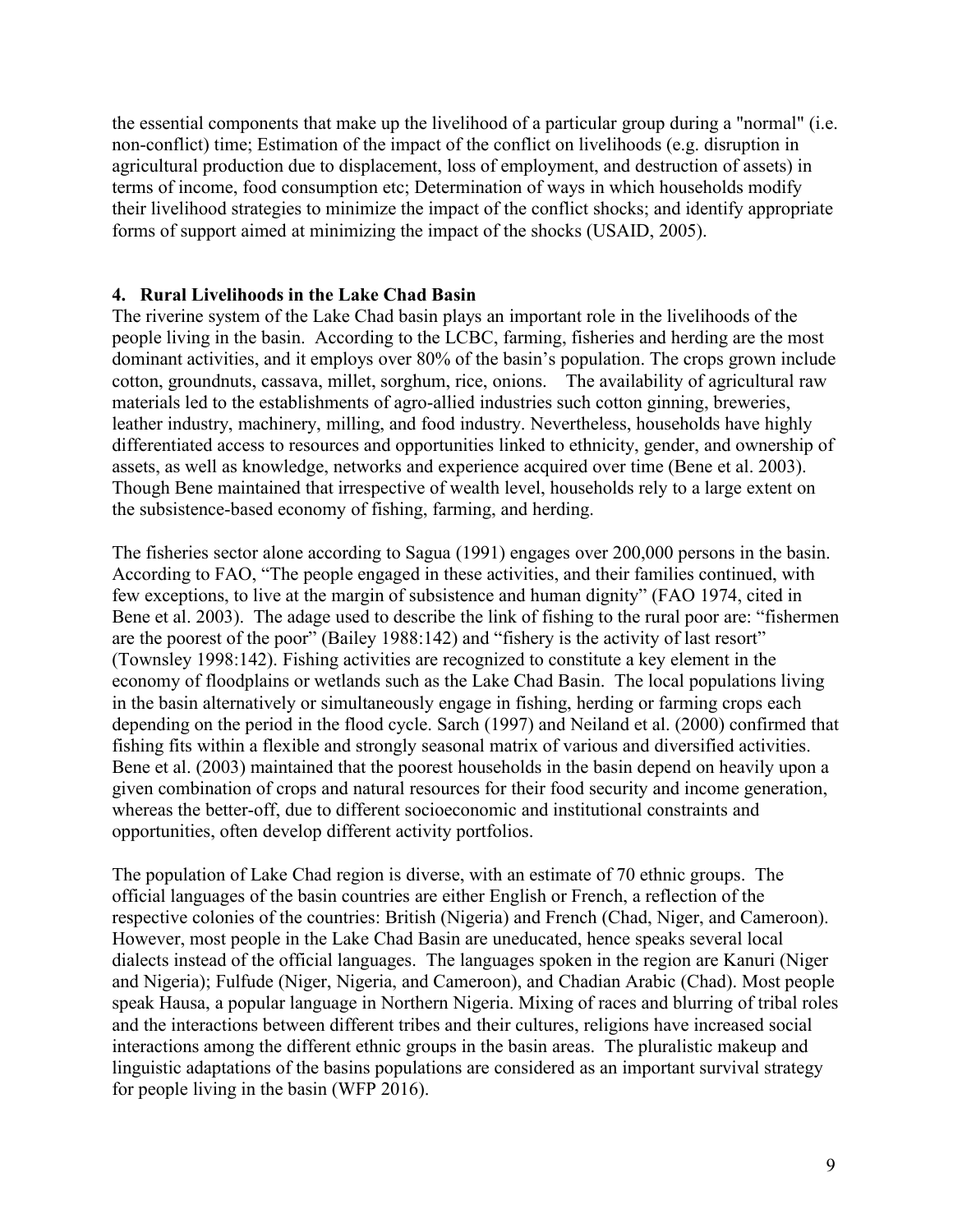the essential components that make up the livelihood of a particular group during a "normal" (i.e. non-conflict) time; Estimation of the impact of the conflict on livelihoods (e.g. disruption in agricultural production due to displacement, loss of employment, and destruction of assets) in terms of income, food consumption etc; Determination of ways in which households modify their livelihood strategies to minimize the impact of the conflict shocks; and identify appropriate forms of support aimed at minimizing the impact of the shocks (USAID, 2005).

#### **4. Rural Livelihoods in the Lake Chad Basin**

The riverine system of the Lake Chad basin plays an important role in the livelihoods of the people living in the basin. According to the LCBC, farming, fisheries and herding are the most dominant activities, and it employs over 80% of the basin's population. The crops grown include cotton, groundnuts, cassava, millet, sorghum, rice, onions. The availability of agricultural raw materials led to the establishments of agro-allied industries such cotton ginning, breweries, leather industry, machinery, milling, and food industry. Nevertheless, households have highly differentiated access to resources and opportunities linked to ethnicity, gender, and ownership of assets, as well as knowledge, networks and experience acquired over time (Bene et al. 2003). Though Bene maintained that irrespective of wealth level, households rely to a large extent on the subsistence-based economy of fishing, farming, and herding.

The fisheries sector alone according to Sagua (1991) engages over 200,000 persons in the basin. According to FAO, "The people engaged in these activities, and their families continued, with few exceptions, to live at the margin of subsistence and human dignity" (FAO 1974, cited in Bene et al. 2003). The adage used to describe the link of fishing to the rural poor are: "fishermen are the poorest of the poor" (Bailey 1988:142) and "fishery is the activity of last resort" (Townsley 1998:142). Fishing activities are recognized to constitute a key element in the economy of floodplains or wetlands such as the Lake Chad Basin. The local populations living in the basin alternatively or simultaneously engage in fishing, herding or farming crops each depending on the period in the flood cycle. Sarch (1997) and Neiland et al. (2000) confirmed that fishing fits within a flexible and strongly seasonal matrix of various and diversified activities. Bene et al. (2003) maintained that the poorest households in the basin depend on heavily upon a given combination of crops and natural resources for their food security and income generation, whereas the better-off, due to different socioeconomic and institutional constraints and opportunities, often develop different activity portfolios.

The population of Lake Chad region is diverse, with an estimate of 70 ethnic groups. The official languages of the basin countries are either English or French, a reflection of the respective colonies of the countries: British (Nigeria) and French (Chad, Niger, and Cameroon). However, most people in the Lake Chad Basin are uneducated, hence speaks several local dialects instead of the official languages. The languages spoken in the region are Kanuri (Niger) and Nigeria); Fulfude (Niger, Nigeria, and Cameroon), and Chadian Arabic (Chad). Most people speak Hausa, a popular language in Northern Nigeria. Mixing of races and blurring of tribal roles and the interactions between different tribes and their cultures, religions have increased social interactions among the different ethnic groups in the basin areas. The pluralistic makeup and linguistic adaptations of the basins populations are considered as an important survival strategy for people living in the basin (WFP 2016).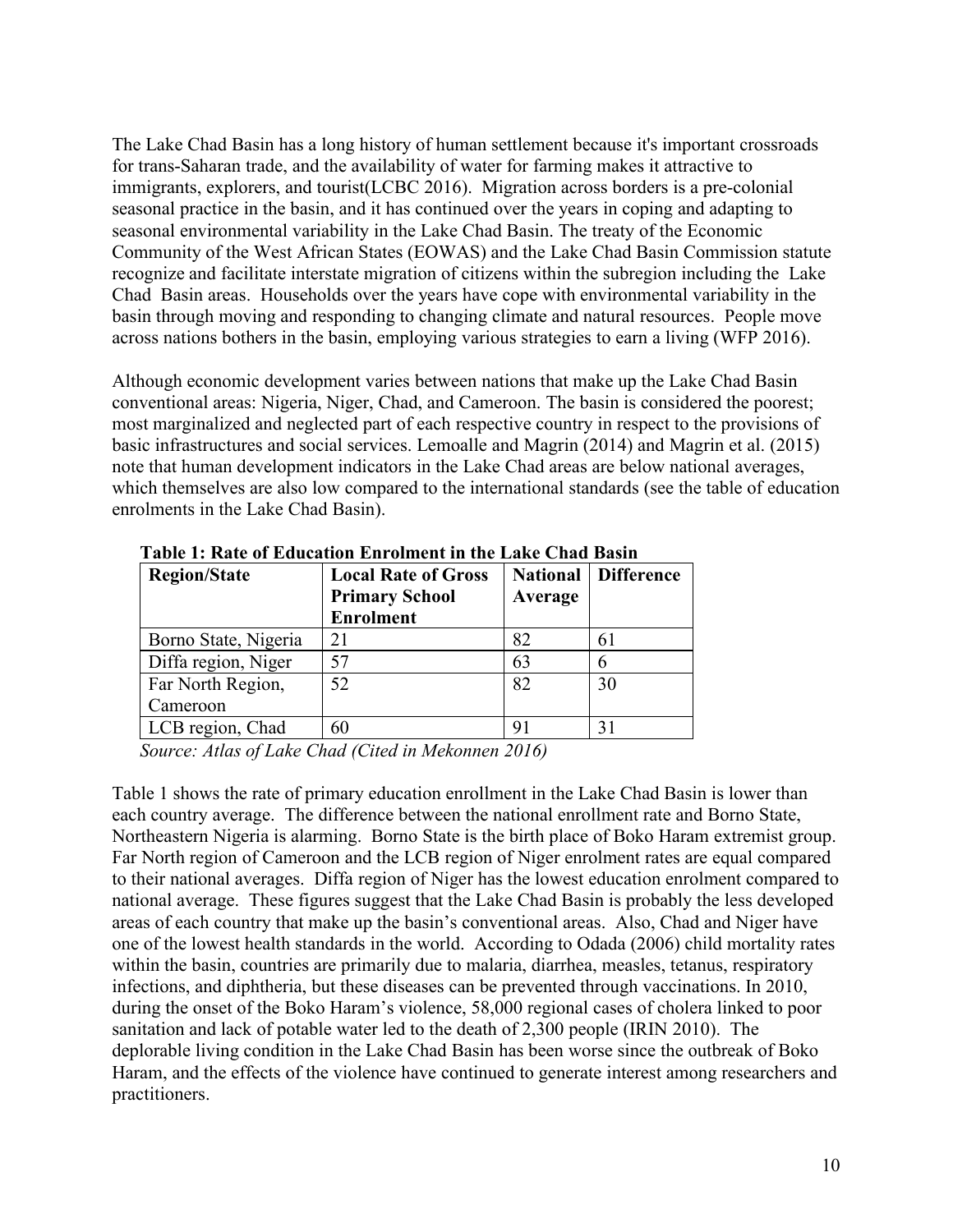The Lake Chad Basin has a long history of human settlement because it's important crossroads for trans-Saharan trade, and the availability of water for farming makes it attractive to immigrants, explorers, and tourist(LCBC 2016). Migration across borders is a pre-colonial seasonal practice in the basin, and it has continued over the years in coping and adapting to seasonal environmental variability in the Lake Chad Basin. The treaty of the Economic Community of the West African States (EOWAS) and the Lake Chad Basin Commission statute recognize and facilitate interstate migration of citizens within the subregion including the Lake Chad Basin areas. Households over the years have cope with environmental variability in the basin through moving and responding to changing climate and natural resources. People move across nations bothers in the basin, employing various strategies to earn a living (WFP 2016).

Although economic development varies between nations that make up the Lake Chad Basin conventional areas: Nigeria, Niger, Chad, and Cameroon. The basin is considered the poorest; most marginalized and neglected part of each respective country in respect to the provisions of basic infrastructures and social services. Lemoalle and Magrin (2014) and Magrin et al. (2015) note that human development indicators in the Lake Chad areas are below national averages, which themselves are also low compared to the international standards (see the table of education enrolments in the Lake Chad Basin).

| <b>Region/State</b>  | <b>Local Rate of Gross</b> | <b>National</b> | <b>Difference</b> |  |
|----------------------|----------------------------|-----------------|-------------------|--|
|                      | <b>Primary School</b>      | Average         |                   |  |
|                      | <b>Enrolment</b>           |                 |                   |  |
| Borno State, Nigeria |                            | 82              | 61                |  |
| Diffa region, Niger  | 57                         | 63              | n                 |  |
| Far North Region,    | 52                         | 82              | 30                |  |
| Cameroon             |                            |                 |                   |  |
| LCB region, Chad     | 60                         | 91              | 31                |  |

**Table 1: Rate of Education Enrolment in the Lake Chad Basin**

*Source: Atlas of Lake Chad (Cited in Mekonnen 2016)*

Table 1 shows the rate of primary education enrollment in the Lake Chad Basin is lower than each country average. The difference between the national enrollment rate and Borno State, Northeastern Nigeria is alarming. Borno State is the birth place of Boko Haram extremist group. Far North region of Cameroon and the LCB region of Niger enrolment rates are equal compared to their national averages. Diffa region of Niger has the lowest education enrolment compared to national average. These figures suggest that the Lake Chad Basin is probably the less developed areas of each country that make up the basin's conventional areas. Also, Chad and Niger have one of the lowest health standards in the world. According to Odada (2006) child mortality rates within the basin, countries are primarily due to malaria, diarrhea, measles, tetanus, respiratory infections, and diphtheria, but these diseases can be prevented through vaccinations. In 2010, during the onset of the Boko Haram's violence, 58,000 regional cases of cholera linked to poor sanitation and lack of potable water led to the death of 2,300 people (IRIN 2010). The deplorable living condition in the Lake Chad Basin has been worse since the outbreak of Boko Haram, and the effects of the violence have continued to generate interest among researchers and practitioners.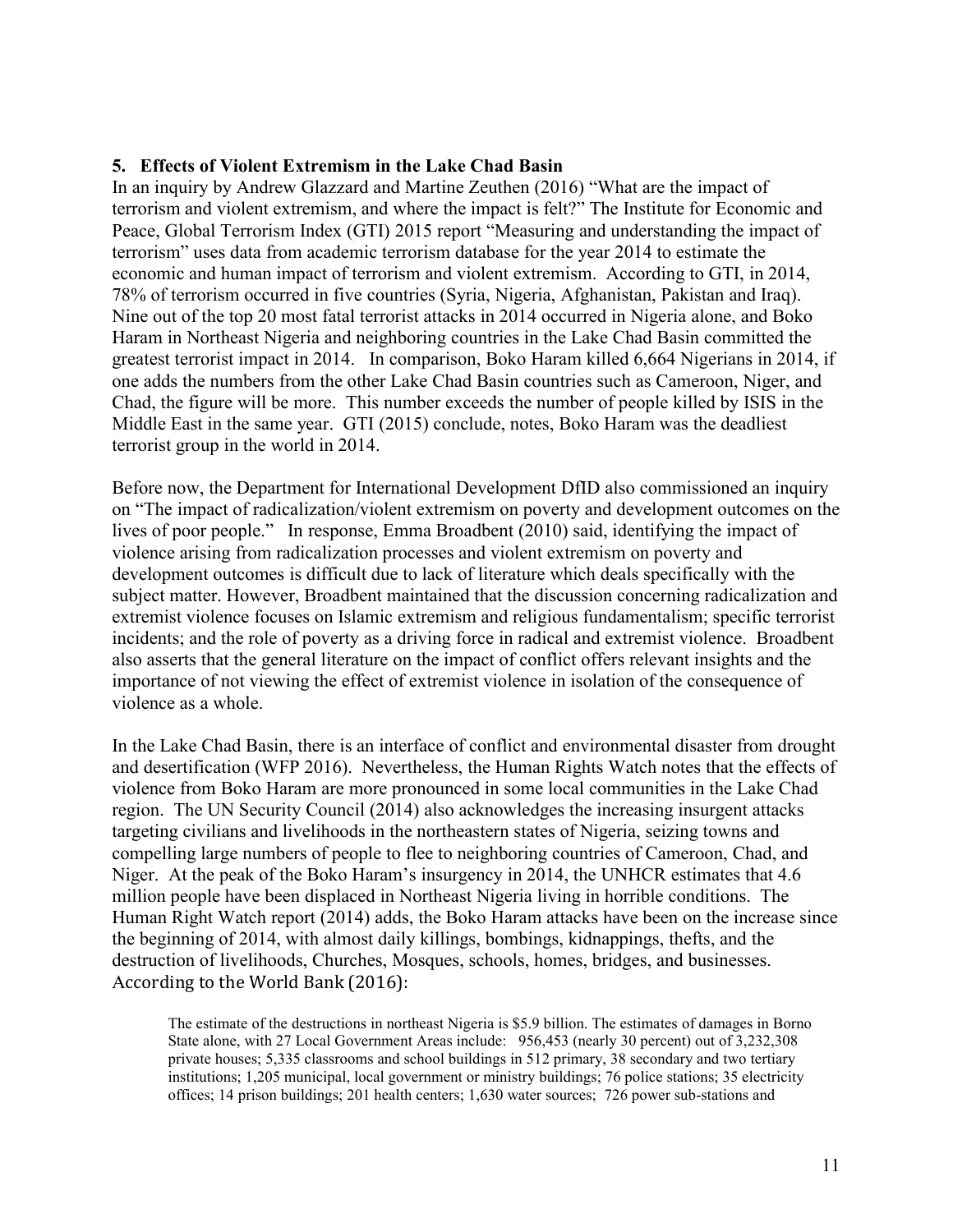#### **5. Effects ofViolent Extremism in the Lake Chad Basin**

In an inquiry by Andrew Glazzard and Martine Zeuthen (2016) "What are the impact of terrorism and violent extremism, and where the impact is felt?" The Institute for Economic and Peace, Global Terrorism Index (GTI) 2015 report "Measuring and understanding the impact of terrorism" uses data from academic terrorism database for the year 2014 to estimate the economic and human impact of terrorism and violent extremism. According to GTI, in 2014, 78% of terrorism occurred in five countries (Syria, Nigeria, Afghanistan, Pakistan and Iraq). Nine out of the top 20 most fatal terrorist attacks in 2014 occurred in Nigeria alone, and Boko Haram in Northeast Nigeria and neighboring countries in the Lake Chad Basin committed the greatest terrorist impact in 2014. In comparison, Boko Haram killed 6,664 Nigerians in 2014, if one adds the numbers from the other Lake Chad Basin countries such as Cameroon, Niger, and Chad, the figure will be more. This number exceeds the number of people killed by ISIS inthe Middle East in the same year. GTI (2015) conclude, notes, Boko Haram was the deadliest terrorist group in the world in 2014.

Before now, the Department for International Development DfID also commissioned an inquiry on "The impact of radicalization/violent extremism on poverty and development outcomes on the lives of poor people." In response, Emma Broadbent (2010) said, identifying the impact of violence arising from radicalization processes and violent extremism on poverty and development outcomes is difficult due to lack of literature which deals specifically with the subject matter. However, Broadbent maintained that the discussion concerning radicalization and extremist violence focuses on Islamic extremism and religious fundamentalism; specific terrorist incidents; and the role of poverty as a driving force in radical and extremist violence. Broadbent also asserts that the general literature on the impact of conflict offers relevant insights and the importance of not viewing the effect of extremist violence in isolation of the consequence of violence as a whole.

In the Lake Chad Basin, there is an interface of conflict and environmental disaster from drought and desertification (WFP 2016). Nevertheless, the Human Rights Watch notes that the effects of violence from Boko Haram are more pronounced in some local communities in the Lake Chad region. The UN Security Council (2014) also acknowledges the increasing insurgent attacks targeting civilians and livelihoods in the northeastern states of Nigeria, seizing towns and compelling large numbers of people to flee to neighboring countries of Cameroon, Chad, and Niger. At the peak of the Boko Haram's insurgency in 2014, the UNHCR estimates that 4.6 million people have been displaced in Northeast Nigeria living in horrible conditions. The Human Right Watch report (2014) adds, the Boko Haram attacks have been on the increase since the beginning of 2014, with almost daily killings, bombings, kidnappings, thefts, and the destruction of livelihoods, Churches, Mosques, schools, homes, bridges, and businesses. According to the World Bank (2016):

The estimate of the destructions in northeast Nigeria is \$5.9 billion. The estimates of damages in Borno State alone, with 27 Local Government Areas include: 956,453 (nearly 30 percent) out of 3,232,308 private houses; 5,335 classrooms and school buildings in 512 primary, 38 secondary and two tertiary institutions; 1,205 municipal, local government or ministry buildings; 76 police stations; 35 electricity offices; 14 prison buildings;201 health centers; 1,630 water sources; 726 power sub-stations and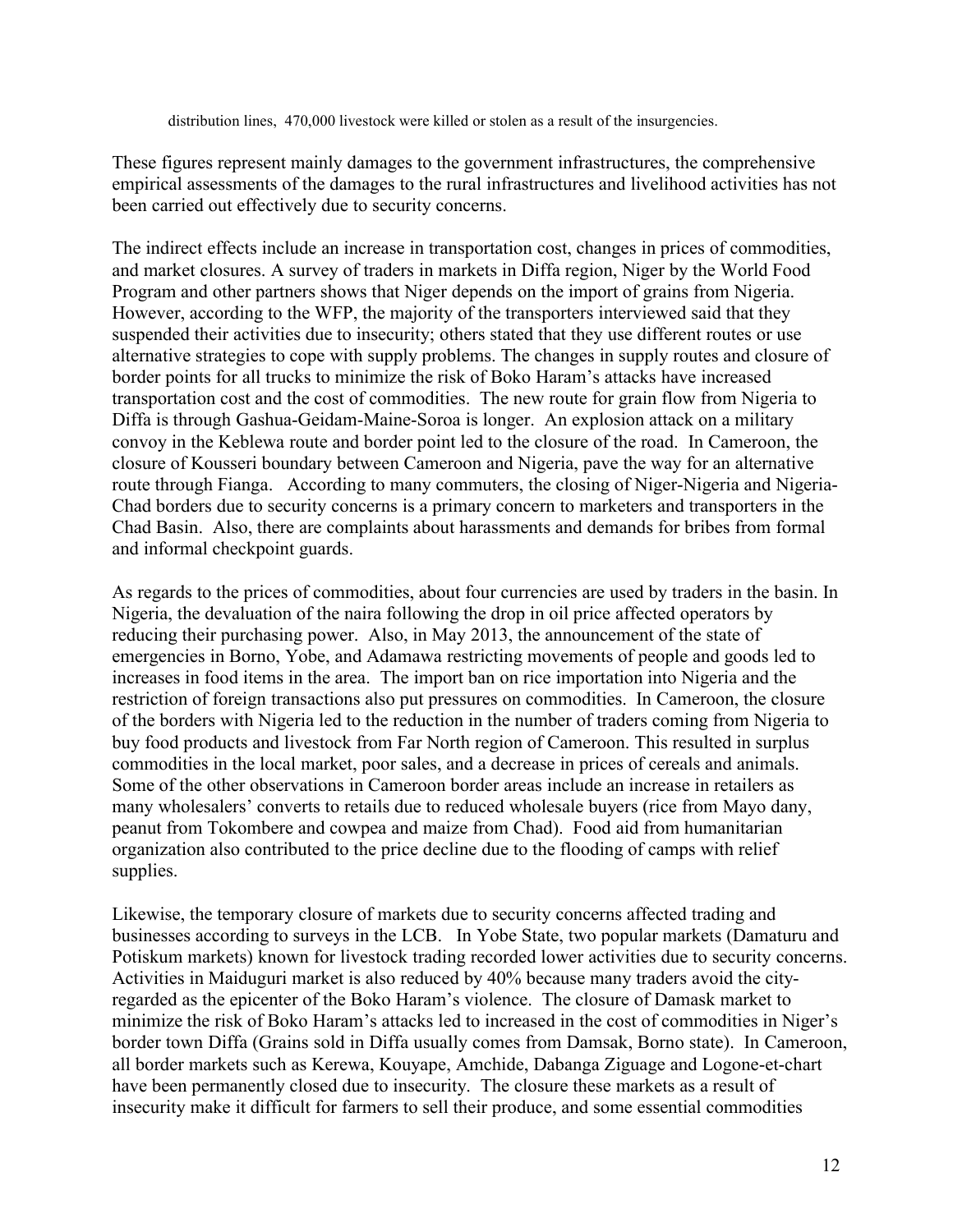distribution lines, 470,000 livestock were killed or stolen as a result of the insurgencies.

These figures represent mainly damages to the government infrastructures, the comprehensive empirical assessments of the damages to the rural infrastructures and livelihood activities has not been carried out effectively due to security concerns.

The indirect effects include an increase in transportation cost, changes in prices of commodities, and market closures. A survey of traders in markets in Diffa region, Niger by the World Food Program and other partners shows that Niger depends on the import of grains from Nigeria. However, according to the WFP, the majority of the transporters interviewed said that they suspended their activities due to insecurity; others stated that they use different routes or use alternative strategies to cope with supply problems. The changes in supply routes and closure of border points for all trucks to minimize the risk of Boko Haram's attacks have increased transportation cost and the cost of commodities. The new route for grain flow from Nigeria to Diffa is through Gashua-Geidam-Maine-Soroa is longer. An explosion attack on a military convoy in the Keblewa route and border point led to the closure of the road. In Cameroon, the closure of Kousseri boundary between Cameroon and Nigeria, pave the way for an alternative route through Fianga. According to many commuters, the closing of Niger-Nigeria and Nigeria-Chad borders due to security concerns is a primary concern to marketers and transporters in the Chad Basin. Also, there are complaints about harassments and demands for bribes from formal and informal checkpoint guards.

As regards to the prices of commodities, about four currencies are used by traders in the basin. In Nigeria, the devaluation of the naira following the drop in oil price affected operators by reducing their purchasing power. Also, in May 2013, the announcement of the state of emergencies in Borno, Yobe, and Adamawa restricting movements of people and goods led to increases in food items in the area. The import ban on rice importation into Nigeria and the restriction of foreign transactions also put pressures on commodities. In Cameroon, the closure of the borders with Nigeria led to the reduction in the number of traders coming from Nigeria to buy food products and livestock from Far North region of Cameroon. This resulted in surplus commodities in the local market, poor sales, and a decrease in prices of cereals and animals. Some of the other observations in Cameroon border areas include an increase in retailers as many wholesalers' converts to retails due to reduced wholesale buyers (rice from Mayo dany, peanut from Tokombere and cowpea and maize from Chad). Food aid from humanitarian organization also contributed to the price decline due to the flooding of camps with relief supplies.

Likewise, the temporary closure of markets due to security concerns affected trading and businesses according to surveys in the LCB. In Yobe State, two popular markets (Damaturu and Potiskum markets) known for livestock trading recorded lower activities due to security concerns. Activities in Maiduguri market is also reduced by 40% because many traders avoid the cityregarded as the epicenter of the Boko Haram's violence. The closure of Damask market to minimize the risk of Boko Haram's attacks led to increased in the cost of commodities in Niger's border town Diffa (Grains sold in Diffa usually comes from Damsak, Borno state). In Cameroon, all border markets such as Kerewa, Kouyape, Amchide, Dabanga Ziguage and Logone-et-chart have been permanently closed due to insecurity. The closure these markets as a result of insecurity make it difficult for farmers to sell their produce, and some essential commodities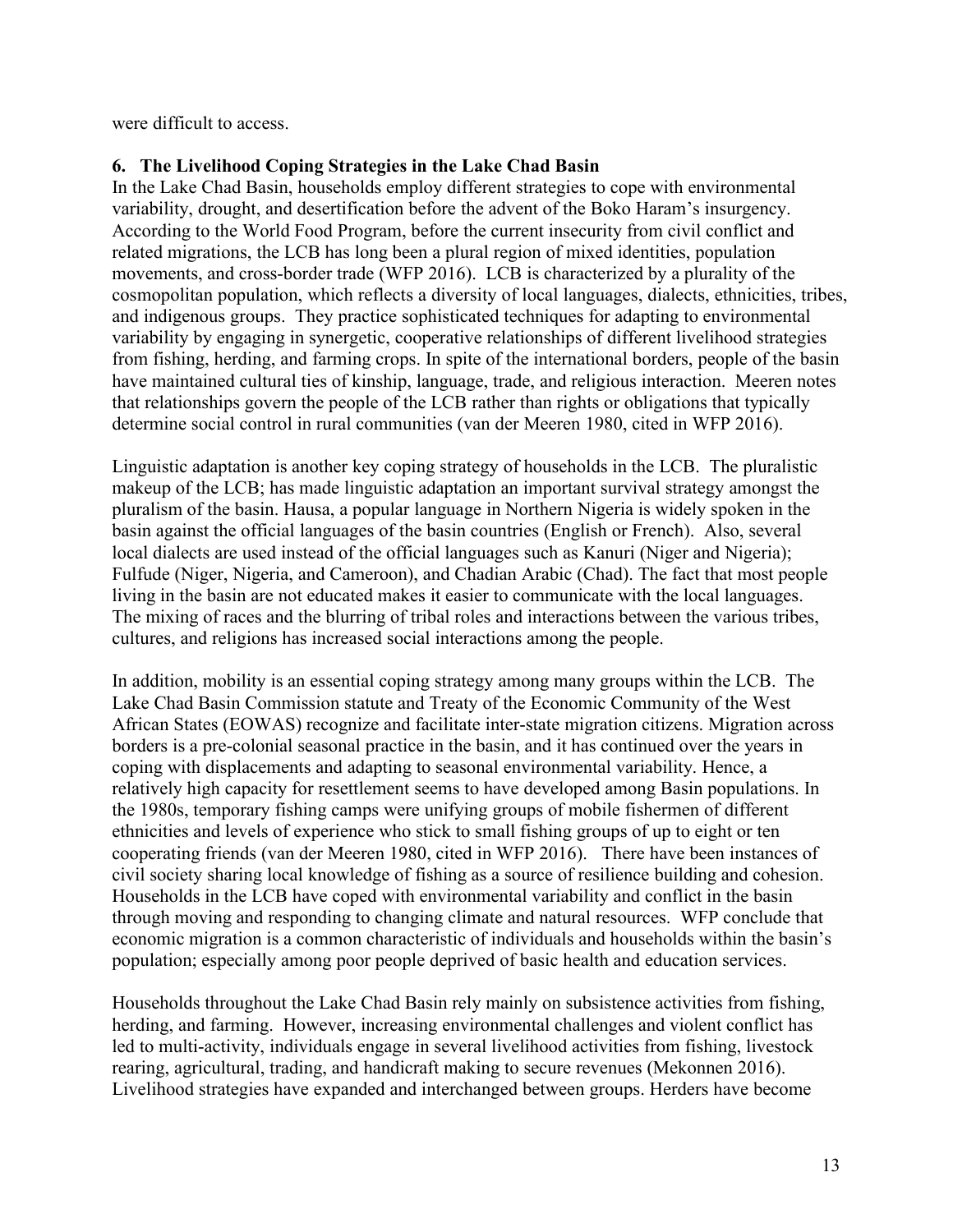were difficult to access.

# **6. The Livelihood Coping Strategies in the Lake Chad Basin**

In the Lake Chad Basin, households employ different strategies to cope with environmental variability, drought, and desertification before the advent of the Boko Haram's insurgency. According to the World Food Program, before the current insecurity from civil conflict and related migrations, the LCB has long been a plural region of mixed identities, population movements, and cross-border trade (WFP 2016). LCB is characterized by a plurality of the cosmopolitan population, which reflects a diversity of local languages, dialects, ethnicities, tribes, and indigenous groups. They practice sophisticated techniques for adapting to environmental variability by engaging in synergetic, cooperative relationships of different livelihood strategies from fishing, herding, and farming crops. In spite of the international borders, people of the basin have maintained cultural ties of kinship, language, trade, and religious interaction. Meeren notes that relationships govern the people of the LCB rather than rights orobligations that typically determine social control in rural communities (van der Meeren 1980, cited in WFP 2016).

Linguistic adaptation is another key coping strategy of households in the LCB. The pluralistic makeup of the LCB; has made linguistic adaptation an important survival strategy amongst the pluralism of the basin. Hausa, a popular language in Northern Nigeria is widely spoken in the basin against the official languages of the basin countries (English or French). Also, several local dialects are used instead of the official languages such as Kanuri (Niger and Nigeria); Fulfude (Niger, Nigeria, and Cameroon), and Chadian Arabic (Chad). The fact that most people living in the basin are not educated makes it easier to communicate with the local languages. The mixing of races and the blurring of tribal roles and interactions between the various tribes, cultures, and religions has increased social interactions among the people.

In addition, mobility is an essential coping strategy among many groups within the LCB. The Lake Chad Basin Commission statute and Treaty of the Economic Community of the West African States (EOWAS) recognize and facilitate inter-state migration citizens. Migration across borders is a pre-colonial seasonal practice in the basin, and it has continued over the years in coping with displacements and adapting to seasonal environmental variability. Hence, a relatively high capacity for resettlement seems to have developed among Basin populations. In the 1980s, temporary fishing camps were unifying groups of mobile fishermen of different ethnicities and levels of experience who stick to small fishing groups of up to eight or ten cooperating friends (van der Meeren 1980, cited in WFP 2016). There have been instances of civil society sharing local knowledge of fishing as a source of resilience building and cohesion. Households in the LCB have coped with environmental variability and conflict in the basin through moving and responding to changing climate and natural resources. WFP conclude that economic migration is a common characteristic of individuals and households within the basin's population; especially among poor people deprived of basic health and education services.

Households throughout the Lake Chad Basin rely mainly on subsistence activities from fishing, herding, and farming. However, increasing environmental challenges and violent conflict has led to multi-activity, individuals engage in several livelihood activities from fishing, livestock rearing, agricultural, trading, and handicraft making to secure revenues (Mekonnen 2016). Livelihood strategies have expanded and interchanged between groups. Herders have become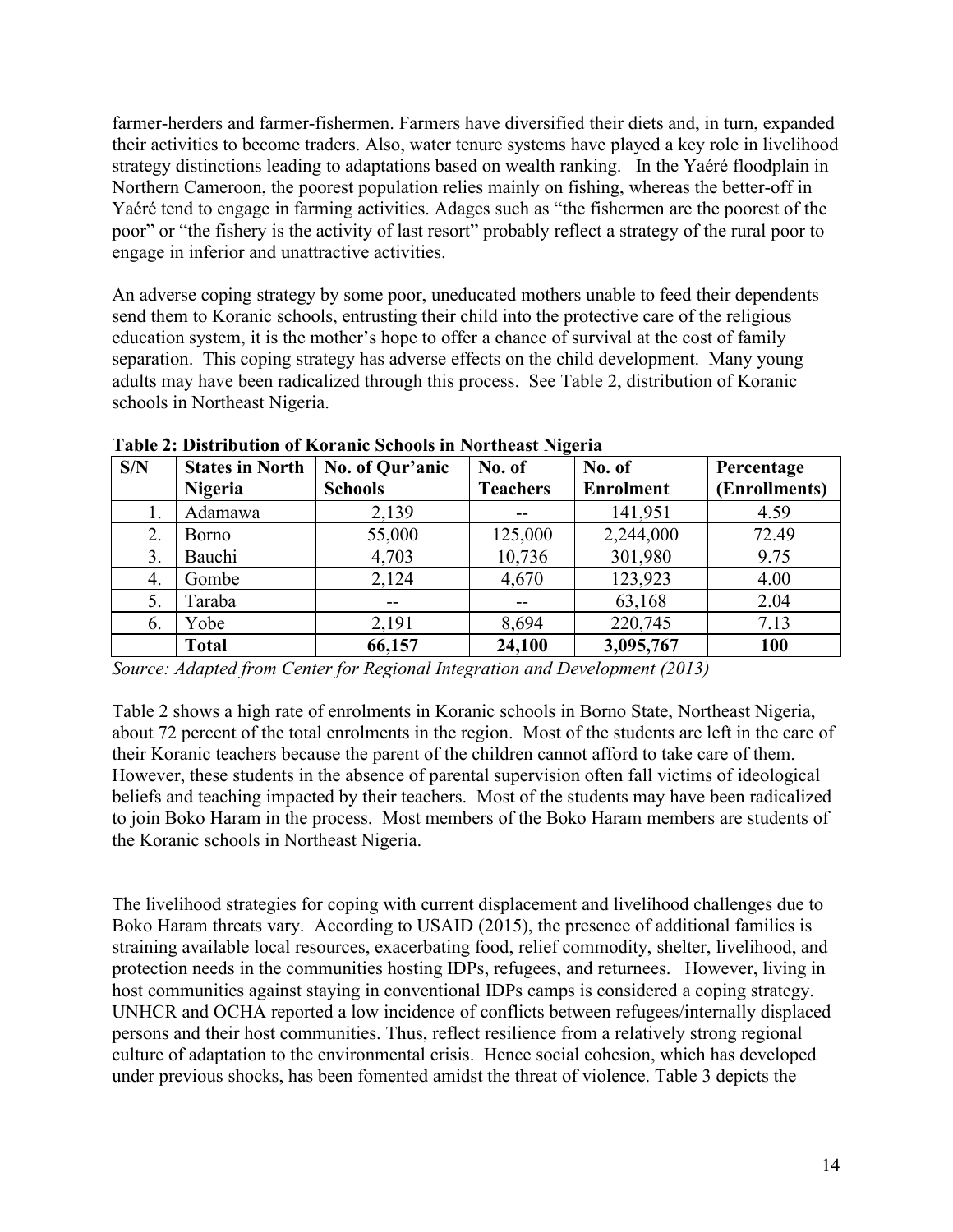farmer-herders and farmer-fishermen. Farmers have diversified their diets and, in turn, expanded their activities to become traders. Also, water tenure systems have played a key role in livelihood strategy distinctions leading to adaptations based on wealth ranking. In the Yaéré floodplain in Northern Cameroon, the poorest population relies mainly on fishing, whereas the better-off in Yaéré tend to engage in farming activities. Adages such as "the fishermen are the poorestof the poor" or "the fishery is the activity of last resort" probably reflect a strategy of the rural poor to engage in inferior and unattractive activities.

An adverse coping strategy by some poor, uneducated mothers unable to feed their dependents send them to Koranic schools, entrusting their child into the protective care of the religious education system, it is the mother's hope to offer a chance of survival at the cost of family separation. This coping strategy has adverse effects on the child development. Many young adults may have been radicalized through this process. See Table 2, distribution of Koranic schools in Northeast Nigeria.

| S/N | <b>States in North</b> | No. of Qur'anic                       | No. of          | No. of           | Percentage    |
|-----|------------------------|---------------------------------------|-----------------|------------------|---------------|
|     | <b>Nigeria</b>         | <b>Schools</b>                        | <b>Teachers</b> | <b>Enrolment</b> | (Enrollments) |
|     | Adamawa                | 2,139                                 | $\sim$ $\sim$   | 141,951          | 4.59          |
| 2.  | Borno                  | 55,000                                | 125,000         | 2,244,000        | 72.49         |
| 3.  | Bauchi                 | 4,703                                 | 10,736          | 301,980          | 9.75          |
| 4.  | Gombe                  | 2,124                                 | 4,670           | 123,923          | 4.00          |
| 5.  | Faraba                 | $\hspace{0.05cm}$ – $\hspace{0.05cm}$ | $- -$           | 63,168           | 2.04          |
| 6.  | Yobe                   | 2,191                                 | 8,694           | 220,745          | 7.13          |
|     | <b>Total</b>           | 66,157                                | 24,100          | 3,095,767        | 100           |

**Table 2: Distribution of Koranic Schools in Northeast Nigeria**

*Source: Adapted from Center for Regional Integration and Development (2013)*

Table 2 shows a high rate of enrolments in Koranic schools in Borno State, Northeast Nigeria, about 72 percent of the total enrolments in the region. Most of the students are left in the care of their Koranic teachers because the parent of the children cannot afford to take care of them. However, these students in the absence of parental supervision often fall victims of ideological beliefs and teaching impacted by their teachers. Most of the students may have been radicalized to join Boko Haram in the process. Most members of the Boko Haram members are students of the Koranic schools in Northeast Nigeria.

The livelihood strategies for coping with current displacement and livelihood challenges due to Boko Haram threats vary. According to USAID (2015), the presence of additional families is straining available local resources, exacerbating food, relief commodity, shelter, livelihood, and protection needs in the communities hosting IDPs, refugees, and returnees. However, living in host communities against staying in conventional IDPs camps is considered a coping strategy. UNHCR and OCHA reported a low incidence of conflicts between refugees/internally displaced persons and their host communities. Thus, reflect resilience from a relatively strong regional culture of adaptation to the environmental crisis. Hence social cohesion, which has developed under previous shocks, has been fomented amidst the threat of violence. Table 3 depicts the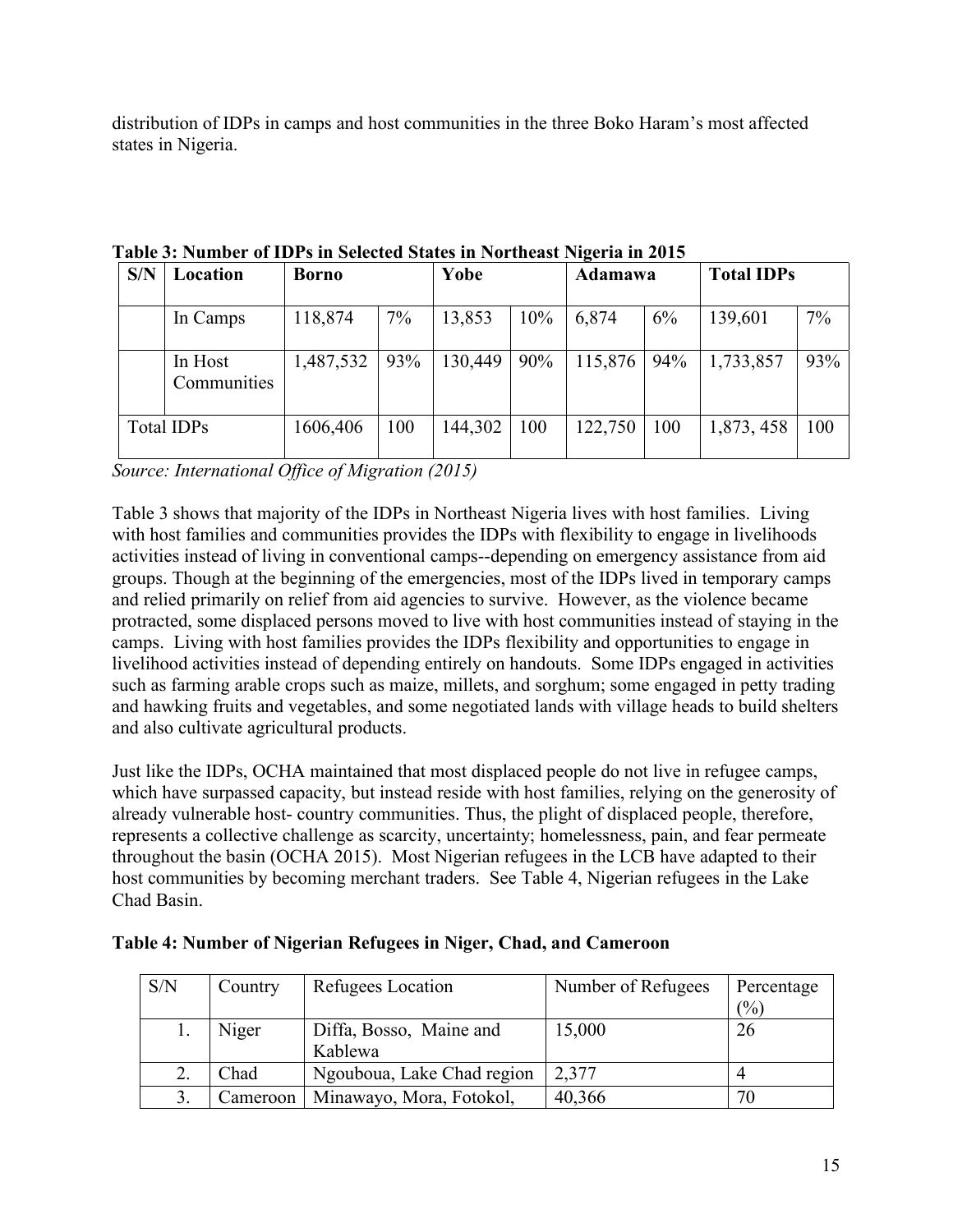distribution of IDPs in camps and host communities in the three Boko Haram's mostaffected states in Nigeria.

| S/N | Location               | <b>Borno</b> |     | Yobe    |     | Adamawa |     | <b>Total IDPs</b> |       |
|-----|------------------------|--------------|-----|---------|-----|---------|-----|-------------------|-------|
|     | In Camps               | 118,874      | 7%  | 13,853  | 10% | 6,874   | 6%  | 139,601           | $7\%$ |
|     | In Host<br>Communities | 1,487,532    | 93% | 130,449 | 90% | 115,876 | 94% | 1,733,857         | 93%   |
|     | Total IDPs             | 1606,406     | 100 | 144,302 | 100 | 122,750 | 100 | 1,873, 458        | 100   |

**Table 3: Number of IDPs in Selected States in Northeast Nigeria in 2015**

*Source: International Office of Migration (2015)*

Table 3 shows that majority of the IDPs in Northeast Nigeria lives with host families. Living with host families and communities provides the IDPs with flexibility to engage in livelihoods activities instead of living in conventional camps--depending on emergency assistance from aid groups. Though at the beginning of the emergencies, most of the IDPs lived in temporary camps and relied primarily on relief from aid agencies to survive. However, as the violence became protracted, some displaced persons moved to live with host communities instead of staying in the camps. Living with host families provides the IDPs flexibility and opportunities to engage in livelihood activities instead of depending entirely on handouts. Some IDPs engaged in activities such as farming arable crops such as maize, millets, and sorghum; some engaged in petty trading and hawking fruits and vegetables, and some negotiated lands with village heads to build shelters and also cultivate agricultural products.

Just like the IDPs, OCHA maintained that most displaced people do not live in refugee camps, which have surpassed capacity, but instead reside with host families, relying on the generosity of already vulnerable host- country communities. Thus, the plight of displaced people, therefore, represents a collective challenge as scarcity, uncertainty; homelessness, pain, and fear permeate throughout the basin (OCHA 2015). Most Nigerian refugees in the LCB have adapted to their host communities by becoming merchant traders. See Table 4, Nigerian refugees in the Lake Chad Basin.

| S/N | Country   | Refugees Location                  | Number of Refugees | Percentage<br>(%) |
|-----|-----------|------------------------------------|--------------------|-------------------|
|     | Niger     | Diffa, Bosso, Maine and<br>Kablewa | 15,000             | 26                |
|     | Chad      | Ngouboua, Lake Chad region         | 2,377              |                   |
|     | Cameroon! | Minawayo, Mora, Fotokol,           | 40,366             | 70                |

# **Table 4: Number of Nigerian Refugees in Niger, Chad, and Cameroon**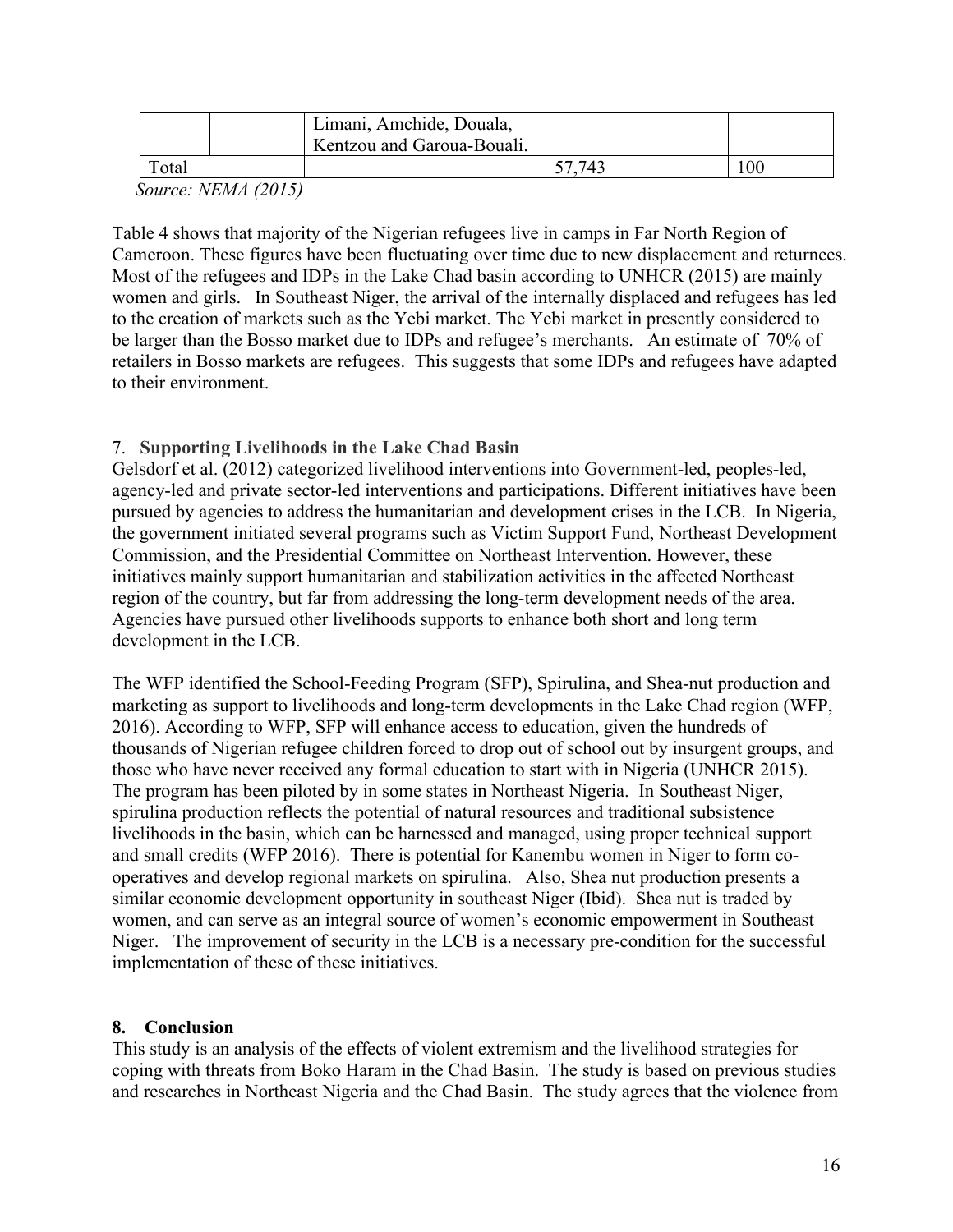|        |                | Limani, Amchide, Douala,<br><sup>R</sup> Kentzou and Garoua-Bouali. |        |    |
|--------|----------------|---------------------------------------------------------------------|--------|----|
| Total  |                |                                                                     | 57.743 | 00 |
| $\sim$ | $\overline{a}$ |                                                                     |        |    |

*Source: NEMA (2015)*

Table 4 shows that majority of the Nigerian refugees live in camps in Far North Region of Cameroon. These figures have been fluctuating over time due to new displacement and returnees. Most of the refugees and IDPs in the Lake Chad basin according to UNHCR (2015) are mainly women and girls. In Southeast Niger, the arrival of the internally displaced and refugees has led to the creation of markets such as the Yebi market. The Yebi market in presently considered to be larger than the Bosso market due to IDPs and refugee's merchants. An estimate of 70% of retailers in Bosso markets are refugees. This suggests that some IDPs and refugees have adapted to their environment.

# 7. **Supporting Livelihoods in the Lake Chad Basin**

Gelsdorf et al. (2012) categorized livelihood interventions into Government-led, peoples-led, agency-led and private sector-led interventions and participations. Different initiatives have been pursued by agencies to address the humanitarian and development crises in the LCB. In Nigeria, the government initiated several programs such as Victim Support Fund, Northeast Development Commission, and the Presidential Committee on Northeast Intervention. However, these initiatives mainly support humanitarian and stabilization activities in the affected Northeast region of the country, but far from addressing the long-term development needs of the area. Agencies have pursued other livelihoods supports to enhance both short and long term development in the LCB.

The WFP identified the School-Feeding Program (SFP), Spirulina, and Shea-nut production and marketing as support to livelihoods and long-term developments in the Lake Chad region (WFP, 2016). According to WFP, SFP will enhance access to education, given the hundreds of thousands of Nigerian refugee children forced to drop out of school out by insurgent groups, and those who have never received any formal education to start with in Nigeria (UNHCR 2015). The program has been piloted by in some states in Northeast Nigeria. In Southeast Niger, spirulina production reflects the potential of natural resources and traditional subsistence livelihoods in the basin, which can be harnessed and managed, using proper technical support and small credits (WFP 2016). There is potential for Kanembu women in Niger to form cooperatives and develop regional markets on spirulina. Also, Shea nut production presents a similar economic development opportunity in southeast Niger (Ibid). Shea nut is traded by women, and can serve as an integral source of women's economic empowerment in Southeast Niger. The improvement of security in the LCB is a necessary pre-condition for the successful implementation of these of these initiatives.

# **8. Conclusion**

This study is an analysis of the effects of violent extremism and the livelihood strategies for coping with threats from Boko Haram in the Chad Basin. The study is based on previous studies and researches in Northeast Nigeria and the Chad Basin. The study agrees that the violence from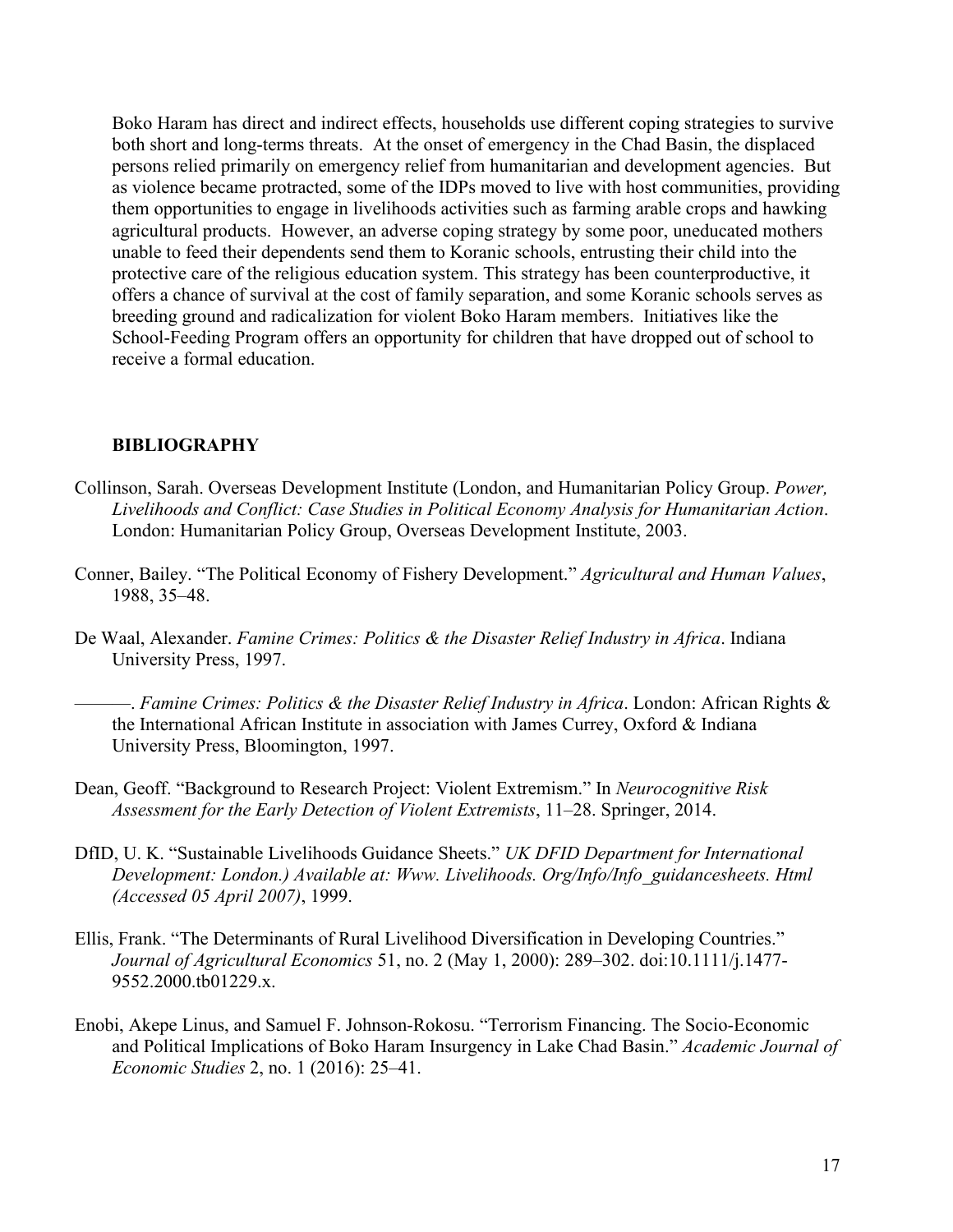Boko Haram has direct and indirect effects, households use different coping strategies to survive both short and long-terms threats. At the onset of emergency in the Chad Basin, the displaced persons relied primarily on emergency relief from humanitarian and development agencies. But as violence became protracted, some of the IDPs moved to live with host communities, providing them opportunities to engage in livelihoods activities such as farming arable crops and hawking agricultural products. However, an adverse coping strategy by some poor, uneducated mothers unable to feed their dependents send them to Koranic schools, entrusting their child into the protective care of the religious education system. This strategy has been counterproductive, it offers a chance of survival at the cost of family separation, and some Koranic schools serves as breeding ground and radicalization for violent Boko Haram members. Initiatives like the School-Feeding Program offers an opportunity for children that have dropped out of school to receive a formal education.

#### **BIBLIOGRAPHY**

- Collinson, Sarah. Overseas Development Institute (London, and Humanitarian Policy Group. *Power, Livelihoods and Conflict: Case Studies in Political Economy Analysis for Humanitarian Action*. London: Humanitarian Policy Group, Overseas Development Institute, 2003.
- Conner, Bailey. "The Political Economy of Fishery Development." *Agricultural and Human Values*, 1988, 35–48.
- De Waal, Alexander. *Famine Crimes: Politics & the Disaster Relief Industry in Africa*. Indiana University Press, 1997.
	- ———. *Famine Crimes: Politics & the Disaster Relief Industry in Africa*. London: African Rights & the International African Institute in association with James Currey, Oxford & Indiana University Press, Bloomington, 1997.
- Dean, Geoff. "Background to Research Project: Violent Extremism." In *Neurocognitive Risk Assessment for the Early Detection of Violent Extremists*, 11–28. Springer, 2014.
- DfID, U. K. "Sustainable Livelihoods Guidance Sheets." *UK DFID Department for International Development: London.) Available at: Www. Livelihoods. Org/Info/Info\_guidancesheets. Html (Accessed 05 April 2007)*, 1999.
- Ellis, Frank. "The Determinants of Rural Livelihood Diversification in Developing Countries." *Journal of Agricultural Economics* 51, no. 2 (May 1, 2000): 289–302. doi:10.1111/j.1477- 9552.2000.tb01229.x.
- Enobi, Akepe Linus, and Samuel F. Johnson-Rokosu. "Terrorism Financing. The Socio-Economic and Political Implications of Boko Haram Insurgency in Lake Chad Basin." *Academic Journal of Economic Studies* 2, no. 1 (2016): 25–41.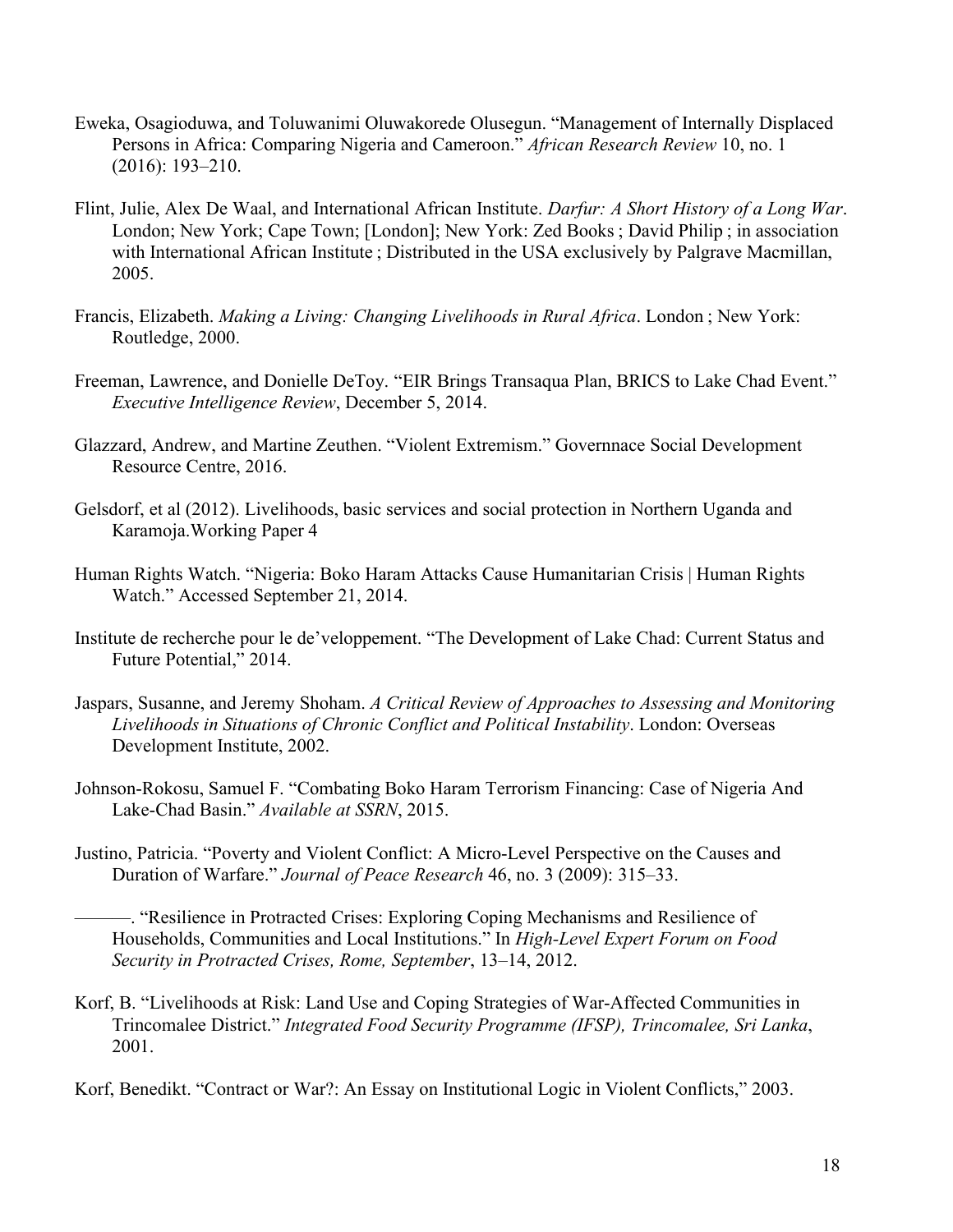- Eweka, Osagioduwa, and Toluwanimi Oluwakorede Olusegun. "Management of Internally Displaced Persons in Africa: Comparing Nigeria and Cameroon." *African Research Review* 10, no. 1 (2016): 193–210.
- Flint, Julie, Alex De Waal, and International African Institute. *Darfur: A Short History of a Long War*. London; New York; Cape Town; [London]; New York: Zed Books ; David Philip ; in association with International African Institute ; Distributed in the USA exclusively by Palgrave Macmillan, 2005.
- Francis, Elizabeth. *Making a Living:Changing Livelihoods in Rural Africa*. London ; New York: Routledge, 2000.
- Freeman, Lawrence, and Donielle DeToy. "EIR Brings Transaqua Plan, BRICS to Lake Chad Event." *Executive Intelligence Review*, December 5, 2014.
- Glazzard, Andrew, and Martine Zeuthen. "Violent Extremism." Governnace Social Development Resource Centre, 2016.
- Gelsdorf, et al (2012). Livelihoods, basic services and social protection in Northern Uganda and Karamoja.Working Paper 4
- Human Rights Watch. "Nigeria: Boko Haram Attacks Cause Humanitarian Crisis | Human Rights Watch." Accessed September 21, 2014.
- Institute de recherche pour le de'veloppement. "The Development of Lake Chad: Current Status and Future Potential," 2014.
- Jaspars, Susanne, and Jeremy Shoham. *A Critical Review of Approaches to Assessing and Monitoring Livelihoods in Situations of Chronic Conflict and Political Instability*. London: Overseas Development Institute, 2002.
- Johnson-Rokosu, Samuel F. "Combating Boko Haram Terrorism Financing: Case of Nigeria And Lake-Chad Basin." *Available at SSRN*, 2015.
- Justino, Patricia. "Poverty and Violent Conflict: A Micro-Level Perspective on the Causes and Duration of Warfare." *Journal of Peace Research* 46, no. 3 (2009): 315–33.
	- ———. "Resilience in Protracted Crises: Exploring Coping Mechanisms and Resilience of Households, Communities and Local Institutions." In *High-Level Expert Forum on Food Security in Protracted Crises, Rome, September*, 13–14, 2012.
- Korf, B. "Livelihoods at Risk: Land Use and Coping Strategies of War-Affected Communities in Trincomalee District." *Integrated Food Security Programme (IFSP), Trincomalee, Sri Lanka*, 2001.

Korf, Benedikt. "Contract or War?: An Essay on Institutional Logic in Violent Conflicts," 2003.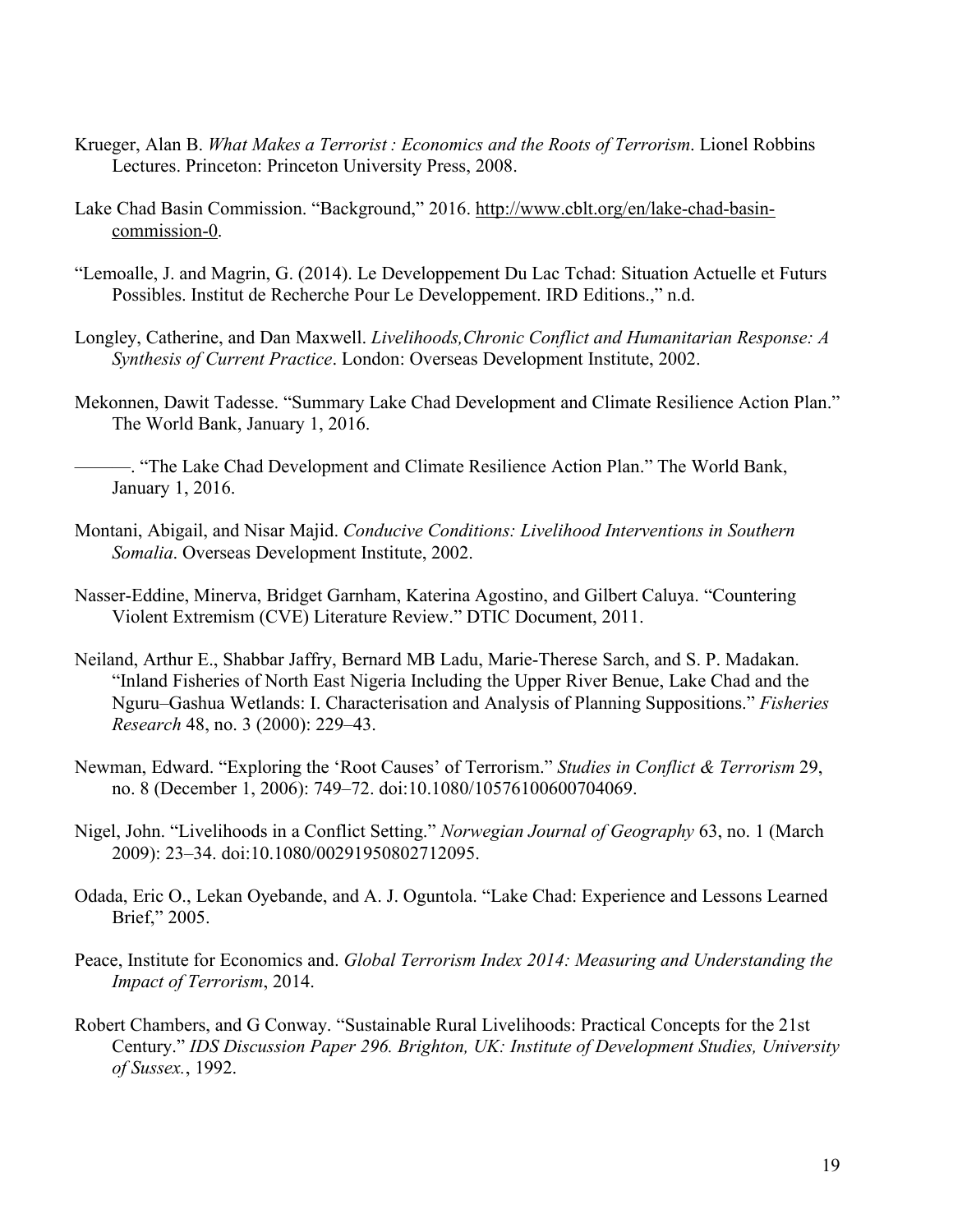- Krueger, Alan B. *What Makes a Terrorist : Economics and the Roots of Terrorism*. Lionel Robbins Lectures. Princeton: Princeton University Press, 2008.
- Lake Chad Basin Commission. "Background," 2016. [http://www.cblt.org/en/lake-chad-basin](http://www.cblt.org/en/lake-chad-basin-commission-0)commission-0.
- "Lemoalle, J. and Magrin, G. (2014). Le Developpement Du Lac Tchad: Situation Actuelle et Futurs Possibles. Institut de Recherche Pour Le Developpement. IRD Editions.," n.d.
- Longley, Catherine, and Dan Maxwell. *Livelihoods,Chronic Conflict and Humanitarian Response: A Synthesis of Current Practice*. London: Overseas Development Institute, 2002.
- Mekonnen, Dawit Tadesse. "Summary Lake Chad Development and Climate Resilience Action Plan." The World Bank, January 1, 2016.
- ———. "The Lake Chad Development and Climate Resilience Action Plan." The World Bank, January 1, 2016.
- Montani, Abigail, and Nisar Majid. *Conducive Conditions: Livelihood Interventions in Southern Somalia*. Overseas Development Institute, 2002.
- Nasser-Eddine, Minerva, Bridget Garnham, Katerina Agostino, and Gilbert Caluya. "Countering Violent Extremism (CVE) Literature Review." DTIC Document, 2011.
- Neiland, Arthur E., Shabbar Jaffry, Bernard MB Ladu, Marie-Therese Sarch, and S. P. Madakan. "Inland Fisheries of North East Nigeria Including the Upper River Benue, Lake Chad and the Nguru–Gashua Wetlands: I. Characterisation and Analysis of Planning Suppositions." *Fisheries Research* 48, no. 3 (2000): 229–43.
- Newman, Edward. "Exploring the 'Root Causes' of Terrorism." *Studies in Conflict & Terrorism* 29, no. 8 (December 1, 2006): 749–72. doi:10.1080/10576100600704069.
- Nigel, John. "Livelihoods in a Conflict Setting." *Norwegian Journal of Geography* 63, no. 1 (March 2009): 23–34. doi:10.1080/00291950802712095.
- Odada, Eric O., Lekan Oyebande, and A. J. Oguntola. "Lake Chad: Experience and Lessons Learned Brief," 2005.
- Peace, Institute for Economics and. *Global Terrorism Index 2014: Measuring and Understanding the Impact of Terrorism*, 2014.
- Robert Chambers, and G Conway."Sustainable Rural Livelihoods: Practical Concepts for the 21st Century." *IDS Discussion Paper 296.Brighton, UK: Institute of Development Studies, University of Sussex.*, 1992.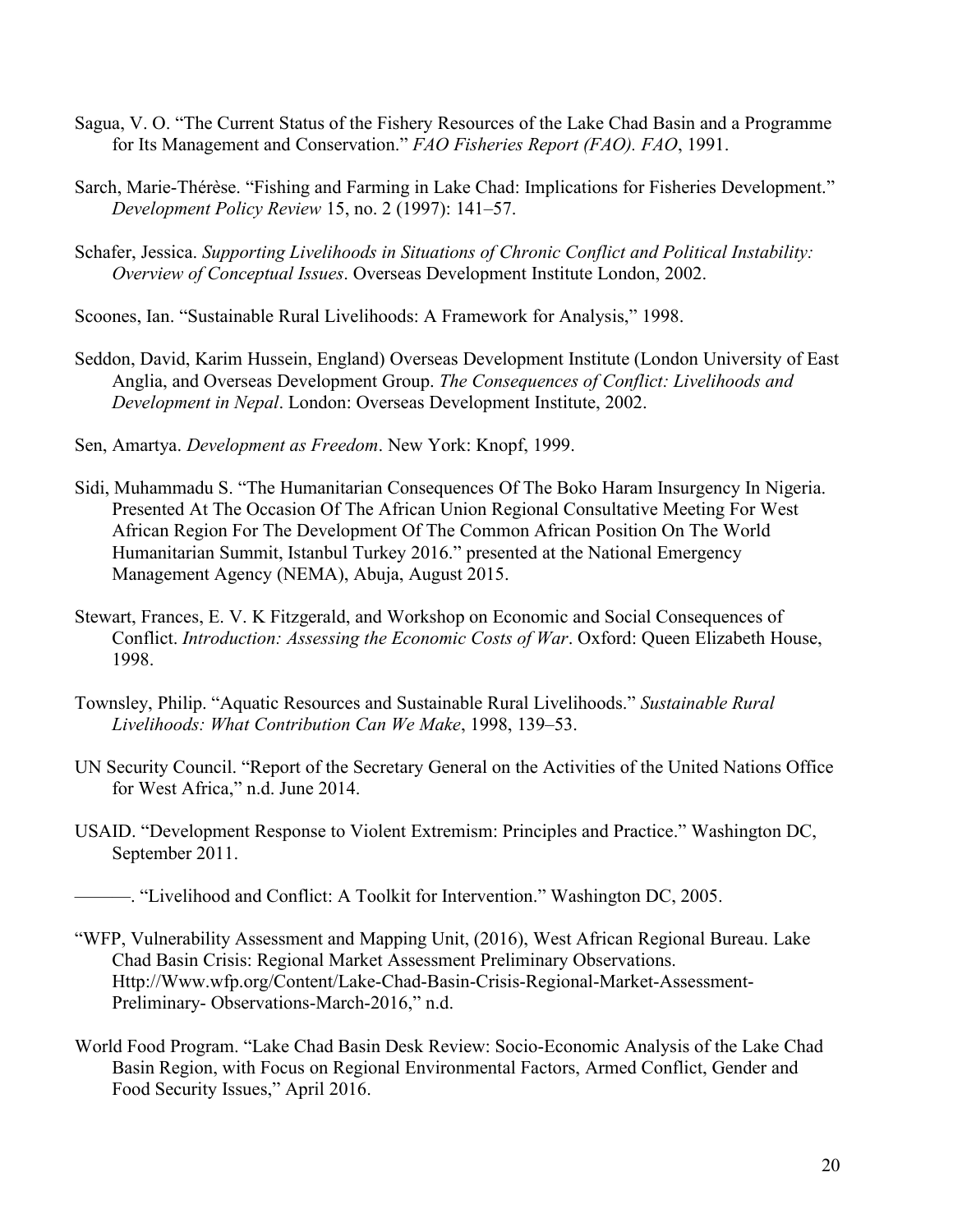- Sagua, V. O. "The Current Status of the Fishery Resources of the Lake Chad Basin and a Programme for Its Management and Conservation." *FAO Fisheries Report (FAO). FAO*, 1991.
- Sarch, Marie-Thérèse. "Fishing and Farming in Lake Chad: Implications for Fisheries Development." *Development Policy Review* 15, no. 2 (1997): 141–57.
- Schafer, Jessica. *Supporting Livelihoods in Situations of Chronic Conflict and Political Instability: Overview of Conceptual Issues*. Overseas Development Institute London, 2002.
- Scoones, Ian. "Sustainable Rural Livelihoods: A Framework for Analysis," 1998.
- Seddon, David, Karim Hussein, England) Overseas Development Institute (London University of East Anglia, and Overseas Development Group. *The Consequences of Conflict: Livelihoods and Development in Nepal*. London: Overseas Development Institute, 2002.
- Sen, Amartya. *Development as Freedom*. New York: Knopf, 1999.
- Sidi, Muhammadu S. "The Humanitarian Consequences Of The Boko Haram Insurgency In Nigeria. Presented At The Occasion Of The African Union Regional Consultative Meeting For West African Region For The Development Of The Common African Position On The World Humanitarian Summit, Istanbul Turkey 2016." presented at the National Emergency Management Agency (NEMA), Abuja, August 2015.
- Stewart, Frances, E. V. K Fitzgerald, and Workshop on Economic and Social Consequences of Conflict. *Introduction: Assessing the Economic Costs of War*. Oxford: Queen Elizabeth House, 1998.
- Townsley, Philip. "Aquatic Resources and Sustainable Rural Livelihoods." *Sustainable Rural Livelihoods: What Contribution Can We Make*, 1998, 139–53.
- UN Security Council. "Report of the Secretary General on the Activities of the United Nations Office for West Africa," n.d. June 2014.
- USAID. "Development Response to Violent Extremism: Principles and Practice." Washington DC, September 2011.
	- ———. "Livelihood and Conflict: A Toolkit for Intervention." Washington DC, 2005.
- "WFP, Vulnerability Assessment and Mapping Unit, (2016), West African Regional Bureau. Lake Chad Basin Crisis: Regional Market Assessment Preliminary Observations. Http://Www.wfp.org/Content/Lake-Chad-Basin-Crisis-Regional-Market-Assessment-Preliminary- Observations-March-2016," n.d.
- World Food Program. "Lake Chad Basin Desk Review: Socio-Economic Analysis ofthe Lake Chad Basin Region, with Focus on Regional Environmental Factors, Armed Conflict, Gender and Food Security Issues," April 2016.